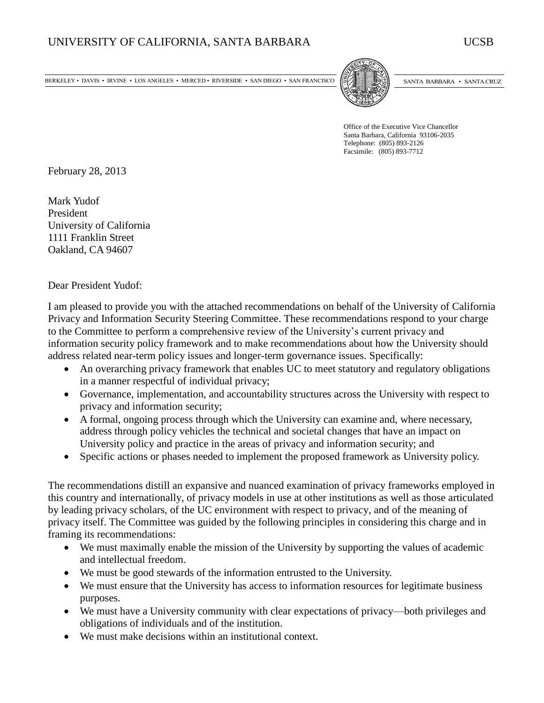BERKELEY • DAVIS • IRVINE • LOS ANGELES • MERCED • RIVERSIDE • SAN DIEGO • SAN FRANCISCO (STATE ENTERTADED) SANTA BARBARA • SANTA CRUZ



Office of the Executive Vice Chancellor Santa Barbara, California 93106-2035 Telephone: (805) 893-2126 Facsimile: (805) 893-7712

February 28, 2013

Mark Yudof President University of California 1111 Franklin Street Oakland, CA 94607

Dear President Yudof:

I am pleased to provide you with the attached recommendations on behalf of the University of California Privacy and Information Security Steering Committee. These recommendations respond to your charge to the Committee to perform a comprehensive review of the University's current privacy and information security policy framework and to make recommendations about how the University should address related near-term policy issues and longer-term governance issues. Specifically:

- An overarching privacy framework that enables UC to meet statutory and regulatory obligations in a manner respectful of individual privacy;
- Governance, implementation, and accountability structures across the University with respect to privacy and information security;
- A formal, ongoing process through which the University can examine and, where necessary, address through policy vehicles the technical and societal changes that have an impact on University policy and practice in the areas of privacy and information security; and
- Specific actions or phases needed to implement the proposed framework as University policy.

The recommendations distill an expansive and nuanced examination of privacy frameworks employed in this country and internationally, of privacy models in use at other institutions as well as those articulated by leading privacy scholars, of the UC environment with respect to privacy, and of the meaning of privacy itself. The Committee was guided by the following principles in considering this charge and in framing its recommendations:

- We must maximally enable the mission of the University by supporting the values of academic and intellectual freedom.
- We must be good stewards of the information entrusted to the University.
- We must ensure that the University has access to information resources for legitimate business purposes.
- We must have a University community with clear expectations of privacy—both privileges and obligations of individuals and of the institution.
- We must make decisions within an institutional context.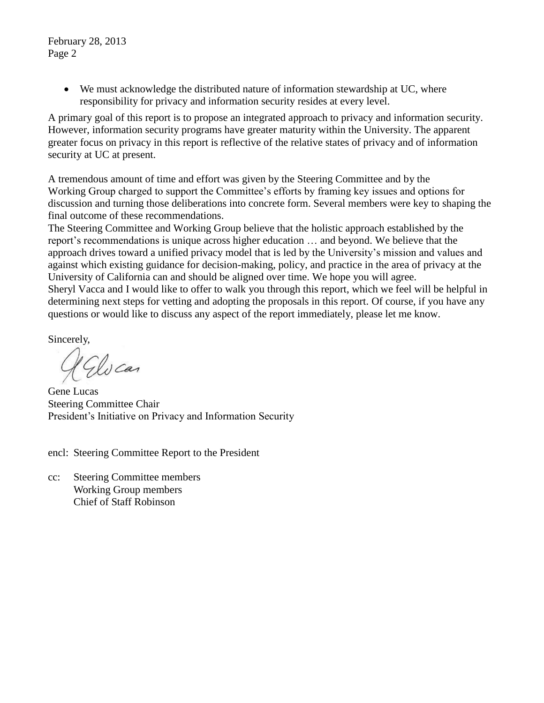February 28, 2013 Page 2

> We must acknowledge the distributed nature of information stewardship at UC, where responsibility for privacy and information security resides at every level.

A primary goal of this report is to propose an integrated approach to privacy and information security. However, information security programs have greater maturity within the University. The apparent greater focus on privacy in this report is reflective of the relative states of privacy and of information security at UC at present.

A tremendous amount of time and effort was given by the Steering Committee and by the Working Group charged to support the Committee's efforts by framing key issues and options for discussion and turning those deliberations into concrete form. Several members were key to shaping the final outcome of these recommendations.

The Steering Committee and Working Group believe that the holistic approach established by the report's recommendations is unique across higher education … and beyond. We believe that the approach drives toward a unified privacy model that is led by the University's mission and values and against which existing guidance for decision-making, policy, and practice in the area of privacy at the University of California can and should be aligned over time. We hope you will agree.

Sheryl Vacca and I would like to offer to walk you through this report, which we feel will be helpful in determining next steps for vetting and adopting the proposals in this report. Of course, if you have any questions or would like to discuss any aspect of the report immediately, please let me know.

Sincerely,

Elvcar

Gene Lucas Steering Committee Chair President's Initiative on Privacy and Information Security

encl: Steering Committee Report to the President

cc: Steering Committee members Working Group members Chief of Staff Robinson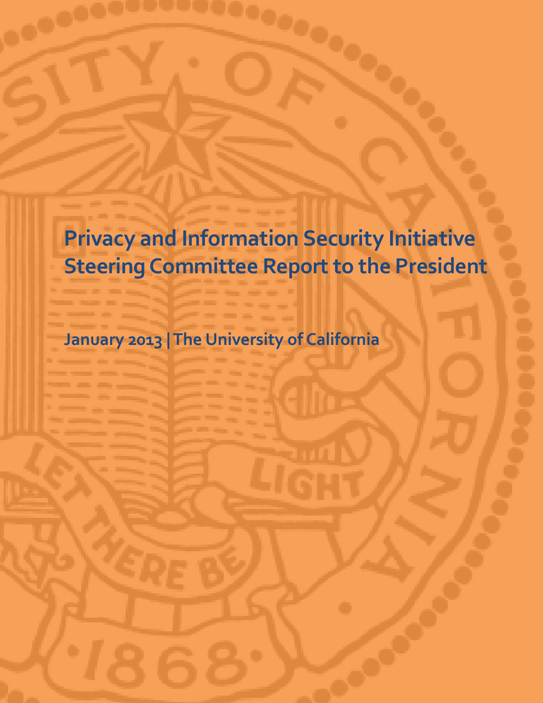**Privacy and Information Security Initiative Steering Committee Report to the President**

**January 2013 | The University of California**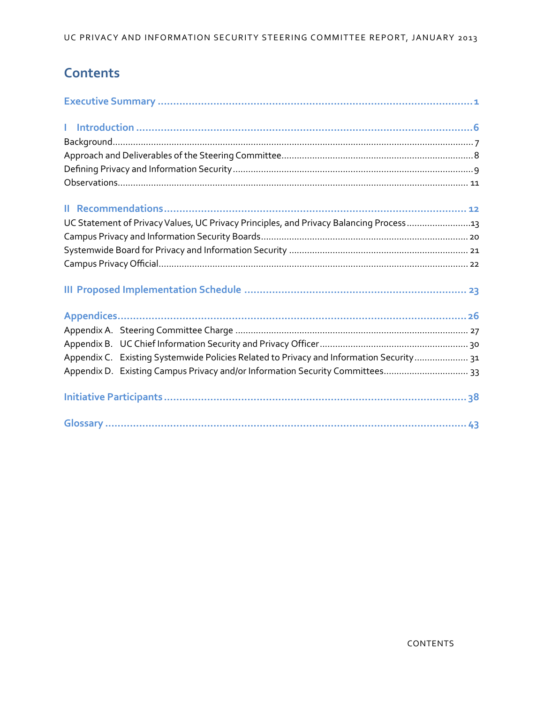# **Contents**

| UC Statement of Privacy Values, UC Privacy Principles, and Privacy Balancing Process13  |  |
|-----------------------------------------------------------------------------------------|--|
|                                                                                         |  |
|                                                                                         |  |
|                                                                                         |  |
|                                                                                         |  |
|                                                                                         |  |
|                                                                                         |  |
|                                                                                         |  |
| Appendix C. Existing Systemwide Policies Related to Privacy and Information Security 31 |  |
| Appendix D. Existing Campus Privacy and/or Information Security Committees 33           |  |
|                                                                                         |  |
|                                                                                         |  |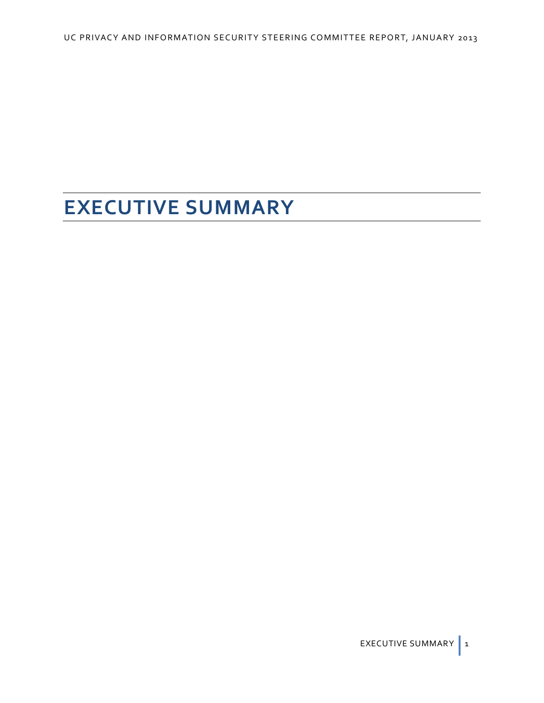# **EXECUTIVE SUMMARY**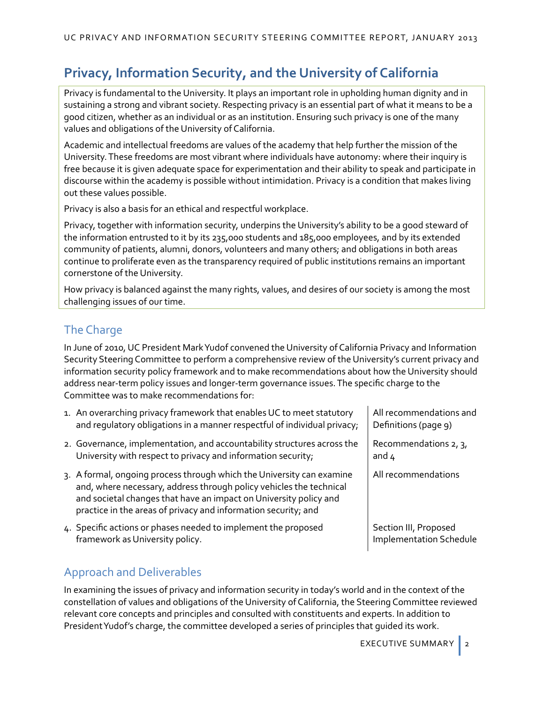# **Privacy, Information Security, and the University of California**

Privacy is fundamental to the University. It plays an important role in upholding human dignity and in sustaining a strong and vibrant society. Respecting privacy is an essential part of what it means to be a good citizen, whether as an individual or as an institution. Ensuring such privacy is one of the many values and obligations of the University of California.

Academic and intellectual freedoms are values of the academy that help further the mission of the University. These freedoms are most vibrant where individuals have autonomy: where their inquiry is free because it is given adequate space for experimentation and their ability to speak and participate in discourse within the academy is possible without intimidation. Privacy is a condition that makes living out these values possible.

Privacy is also a basis for an ethical and respectful workplace.

Privacy, together with information security, underpins the University's ability to be a good steward of the information entrusted to it by its 235,000 students and 185,000 employees, and by its extended community of patients, alumni, donors, volunteers and many others; and obligations in both areas continue to proliferate even as the transparency required of public institutions remains an important cornerstone of the University.

How privacy is balanced against the many rights, values, and desires of our society is among the most challenging issues of our time.

# The Charge

In June of 2010, UC President Mark Yudof convened the University of California Privacy and Information Security Steering Committee to perform a comprehensive review of the University's current privacy and information security policy framework and to make recommendations about how the University should address near-term policy issues and longer-term governance issues. The specific charge to the Committee was to make recommendations for:

- 1. An overarching privacy framework that enables UC to meet statutory and regulatory obligations in a manner respectful of individual privacy;
- 2. Governance, implementation, and accountability structures across the University with respect to privacy and information security;
- 3. A formal, ongoing process through which the University can examine and, where necessary, address through policy vehicles the technical and societal changes that have an impact on University policy and practice in the areas of privacy and information security; and
- 4. Specific actions or phases needed to implement the proposed framework as University policy.

# Approach and Deliverables

In examining the issues of privacy and information security in today's world and in the context of the constellation of values and obligations of the University of California, the Steering Committee reviewed relevant core concepts and principles and consulted with constituents and experts. In addition to President Yudof's charge, the committee developed a series of principles that guided its work.

All recommendations and Definitions (page 9)

Recommendations 2, 3, and  $\mu$ 

All recommendations

Section III, Proposed Implementation Schedule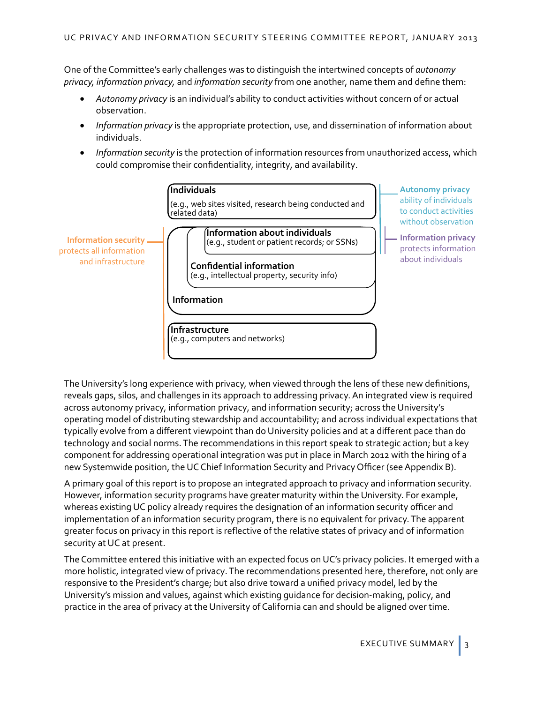One of the Committee's early challenges was to distinguish the intertwined concepts of *autonomy privacy, information privacy,* and *information security* from one another, name them and define them:

- *Autonomy privacy* is an individual's ability to conduct activities without concern of or actual observation.
- *Information privacy* is the appropriate protection, use, and dissemination of information about individuals.
- *Information security* is the protection of information resources from unauthorized access, which could compromise their confidentiality, integrity, and availability.



The University's long experience with privacy, when viewed through the lens of these new definitions, reveals gaps, silos, and challenges in its approach to addressing privacy. An integrated view is required across autonomy privacy, information privacy, and information security; across the University's operating model of distributing stewardship and accountability; and across individual expectations that typically evolve from a different viewpoint than do University policies and at a different pace than do technology and social norms. The recommendations in this report speak to strategic action; but a key component for addressing operational integration was put in place in March 2012 with the hiring of a new Systemwide position, the UC Chief Information Security and Privacy Officer (see [Appendix B\)](#page-33-0).

A primary goal of this report is to propose an integrated approach to privacy and information security. However, information security programs have greater maturity within the University. For example, whereas existing UC policy already requires the designation of an information security officer and implementation of an information security program, there is no equivalent for privacy. The apparent greater focus on privacy in this report is reflective of the relative states of privacy and of information security at UC at present.

The Committee entered this initiative with an expected focus on UC's privacy policies. It emerged with a more holistic, integrated view of privacy.The recommendations presented here, therefore, not only are responsive to the President's charge; but also drive toward a unified privacy model, led by the University's mission and values, against which existing guidance for decision-making, policy, and practice in the area of privacy at the University of California can and should be aligned over time.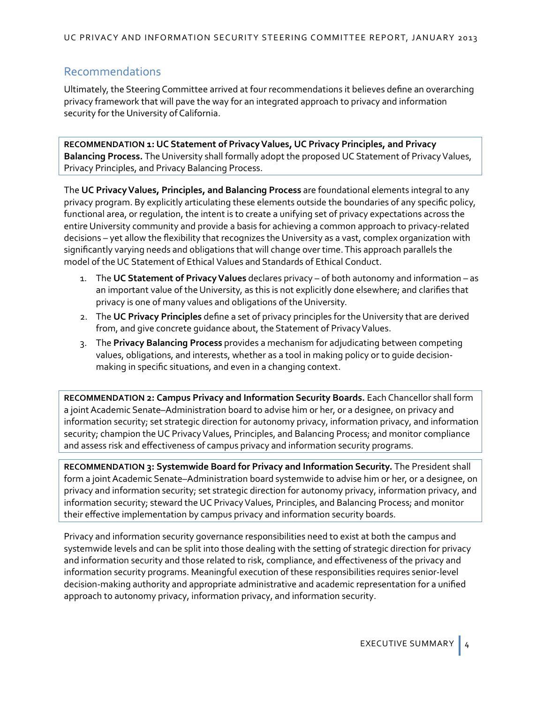# Recommendations

Ultimately, the Steering Committee arrived at four recommendations it believes define an overarching privacy framework that will pave the way for an integrated approach to privacy and information security for the University of California.

**RECOMMENDATION 1: UC Statement of Privacy Values, UC Privacy Principles, and Privacy Balancing Process.** The University shall formally adopt the proposed UC Statement of Privacy Values, Privacy Principles, and Privacy Balancing Process.

The **UC Privacy Values, Principles, and Balancing Process** are foundational elements integral to any privacy program. By explicitly articulating these elements outside the boundaries of any specific policy, functional area, or regulation, the intent is to create a unifying set of privacy expectations across the entire University community and provide a basis for achieving a common approach to privacy-related decisions – yet allow the flexibility that recognizes the University as a vast, complex organization with significantly varying needs and obligations that will change over time.This approach parallels the model of the UC Statement of Ethical Values and Standards of Ethical Conduct.

- 1. The **UC Statement of Privacy Values** declares privacy of both autonomy and information as an important value of the University, as this is not explicitly done elsewhere; and clarifies that privacy is one of many values and obligations of the University.
- 2. The **UC Privacy Principles** define a set of privacy principles for the University that are derived from, and give concrete guidance about, the Statement of Privacy Values.
- 3. The **Privacy Balancing Process** provides a mechanism for adjudicating between competing values, obligations, and interests, whether as a tool in making policy or to guide decisionmaking in specific situations, and even in a changing context.

**RECOMMENDATION 2: Campus Privacy and Information Security Boards.** Each Chancellor shall form a joint Academic Senate–Administration board to advise him or her, or a designee, on privacy and information security; set strategic direction for autonomy privacy, information privacy, and information security; champion the UC Privacy Values, Principles, and Balancing Process; and monitor compliance and assess risk and effectiveness of campus privacy and information security programs.

**RECOMMENDATION 3: Systemwide Board for Privacy and Information Security.** The President shall form a joint Academic Senate–Administration board systemwide to advise him or her, or a designee, on privacy and information security; set strategic direction for autonomy privacy, information privacy, and information security; steward the UC Privacy Values, Principles, and Balancing Process; and monitor their effective implementation by campus privacy and information security boards.

Privacy and information security governance responsibilities need to exist at both the campus and systemwide levels and can be split into those dealing with the setting of strategic direction for privacy and information security and those related to risk, compliance, and effectiveness of the privacy and information security programs. Meaningful execution of these responsibilities requires senior-level decision-making authority and appropriate administrative and academic representation for a unified approach to autonomy privacy, information privacy, and information security.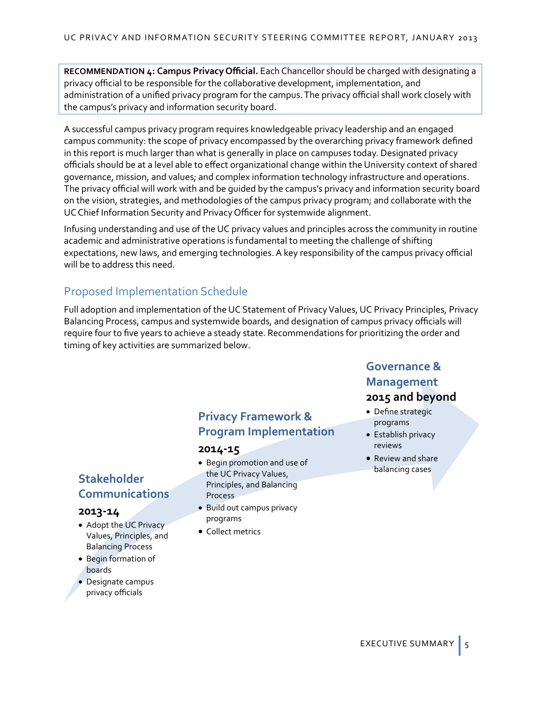**RECOMMENDATION 4: Campus Privacy Official.** Each Chancellor should be charged with designating a privacy official to be responsible for the collaborative development, implementation, and administration of a unified privacy program for the campus. The privacy official shall work closely with the campus's privacy and information security board.

A successful campus privacy program requires knowledgeable privacy leadership and an engaged campus community: the scope of privacy encompassed by the overarching privacy framework defined in this report is much larger than what is generally in place on campuses today. Designated privacy officials should be at a level able to effect organizational change within the University context of shared governance, mission, and values; and complex information technology infrastructure and operations. The privacy official will work with and be guided by the campus's privacy and information security board on the vision, strategies, and methodologies of the campus privacy program; and collaborate with the UC Chief Information Security and Privacy Officer for systemwide alignment.

Infusing understanding and use of the UC privacy values and principles across the community in routine academic and administrative operations is fundamental to meeting the challenge of shifting expectations, new laws, and emerging technologies. A key responsibility of the campus privacy official will be to address this need.

# Proposed Implementation Schedule

Full adoption and implementation of the UC Statement of Privacy Values, UC Privacy Principles, Privacy Balancing Process, campus and systemwide boards, and designation of campus privacy officials will require four to five years to achieve a steady state. Recommendations for prioritizing the order and timing of key activities are summarized below.

# **Stakeholder Communications**

#### **2013-14**

- Adopt the UC Privacy Values, Principles, and Balancing Process
- Begin formation of boards
- Designate campus privacy officials

# **Privacy Framework & Program Implementation**

#### **2014-15**

- Begin promotion and use of the UC Privacy Values, Principles, and Balancing Process
- Build out campus privacy programs
- Collect metrics

# **Governance & Management**

# **2015 and beyond**

- Define strategic programs
- Establish privacy reviews
- Review and share balancing cases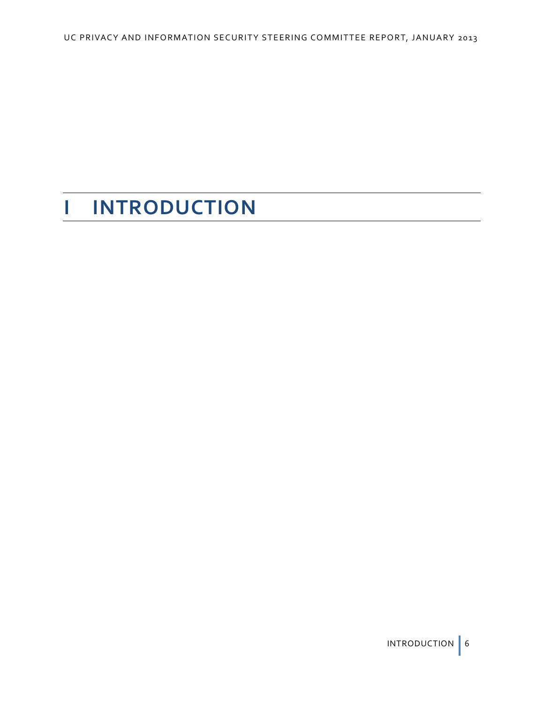# **I INTRODUCTION**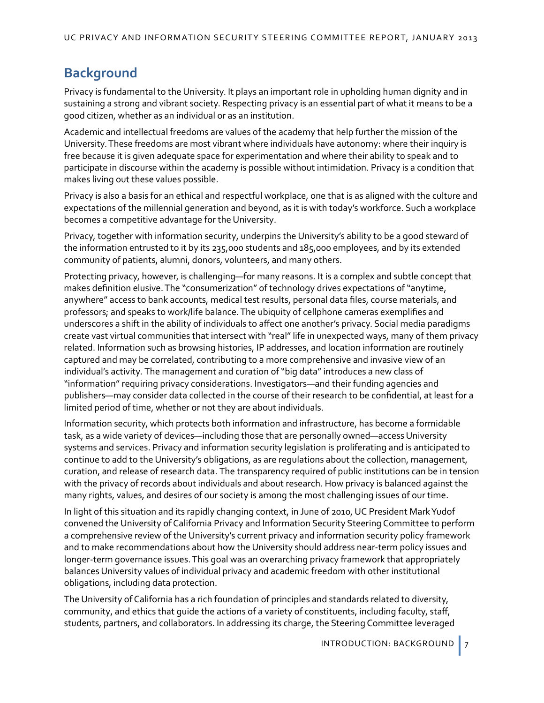# **Background**

Privacy is fundamental to the University. It plays an important role in upholding human dignity and in sustaining a strong and vibrant society. Respecting privacy is an essential part of what it means to be a good citizen, whether as an individual or as an institution.

Academic and intellectual freedoms are values of the academy that help further the mission of the University. These freedoms are most vibrant where individuals have autonomy: where their inquiry is free because it is given adequate space for experimentation and where their ability to speak and to participate in discourse within the academy is possible without intimidation. Privacy is a condition that makes living out these values possible.

Privacy is also a basis for an ethical and respectful workplace, one that is as aligned with the culture and expectations of the millennial generation and beyond, as it is with today's workforce. Such a workplace becomes a competitive advantage for the University.

Privacy, together with information security, underpins the University's ability to be a good steward of the information entrusted to it by its 235,000 students and 185,000 employees, and by its extended community of patients, alumni, donors, volunteers, and many others.

Protecting privacy, however, is challenging—for many reasons. It is a complex and subtle concept that makes definition elusive. The "consumerization" of technology drives expectations of "anytime, anywhere" access to bank accounts, medical test results, personal data files, course materials, and professors; and speaks to work/life balance. The ubiquity of cellphone cameras exemplifies and underscores a shift in the ability of individuals to affect one another's privacy. Social media paradigms create vast virtual communities that intersect with "real" life in unexpected ways, many of them privacy related. Information such as browsing histories, IP addresses, and location information are routinely captured and may be correlated, contributing to a more comprehensive and invasive view of an individual's activity. The management and curation of "big data" introduces a new class of "information" requiring privacy considerations. Investigators—and their funding agencies and publishers—may consider data collected in the course of their research to be confidential, at least for a limited period of time, whether or not they are about individuals.

Information security, which protects both information and infrastructure, has become a formidable task, as a wide variety of devices—including those that are personally owned—access University systems and services. Privacy and information security legislation is proliferating and is anticipated to continue to add to the University's obligations, as are regulations about the collection, management, curation, and release of research data. The transparency required of public institutions can be in tension with the privacy of records about individuals and about research. How privacy is balanced against the many rights, values, and desires of our society is among the most challenging issues of our time.

In light of this situation and its rapidly changing context, in June of 2010, UC President Mark Yudof convened the University of California Privacy and Information Security Steering Committee to perform a comprehensive review of the University's current privacy and information security policy framework and to make recommendations about how the University should address near-term policy issues and longer-term governance issues. This goal was an overarching privacy framework that appropriately balances University values of individual privacy and academic freedom with other institutional obligations, including data protection.

The University of California has a rich foundation of principles and standards related to diversity, community, and ethics that guide the actions of a variety of constituents, including faculty, staff, students, partners, and collaborators. In addressing its charge, the Steering Committee leveraged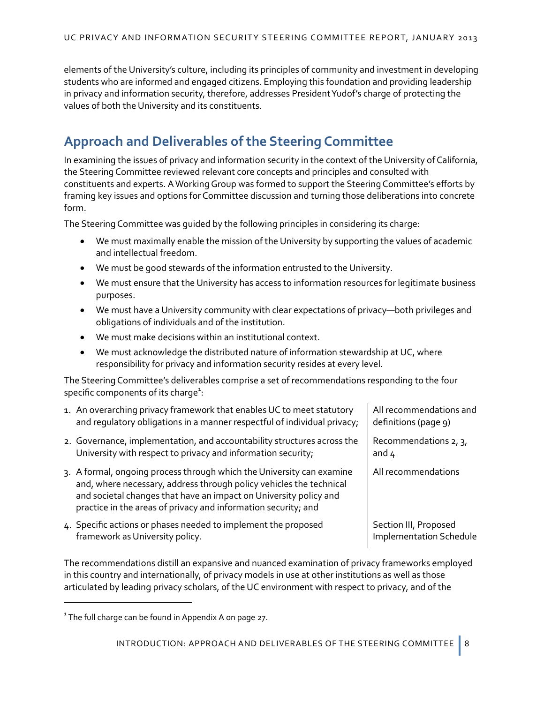elements of the University's culture, including its principles of community and investment in developing students who are informed and engaged citizens. Employing this foundation and providing leadership in privacy and information security, therefore, addresses President Yudof's charge of protecting the values of both the University and its constituents.

# **Approach and Deliverables of the Steering Committee**

In examining the issues of privacy and information security in the context of the University of California, the Steering Committee reviewed relevant core concepts and principles and consulted with constituents and experts. A Working Group was formed to support the Steering Committee's efforts by framing key issues and options for Committee discussion and turning those deliberations into concrete form.

The Steering Committee was guided by the following principles in considering its charge:

- We must maximally enable the mission of the University by supporting the values of academic and intellectual freedom.
- We must be good stewards of the information entrusted to the University.
- We must ensure that the University has access to information resources for legitimate business purposes.
- We must have a University community with clear expectations of privacy—both privileges and obligations of individuals and of the institution.
- We must make decisions within an institutional context.
- We must acknowledge the distributed nature of information stewardship at UC, where responsibility for privacy and information security resides at every level.

The Steering Committee's deliverables comprise a set of recommendations responding to the four specific components of its charge $^1$  $^1$ :

| 1. An overarching privacy framework that enables UC to meet statutory<br>and regulatory obligations in a manner respectful of individual privacy;                                                                                                                                   | All recommendations and<br>definitions (page 9)         |
|-------------------------------------------------------------------------------------------------------------------------------------------------------------------------------------------------------------------------------------------------------------------------------------|---------------------------------------------------------|
| 2. Governance, implementation, and accountability structures across the<br>University with respect to privacy and information security;                                                                                                                                             | Recommendations 2, 3,<br>and $4$                        |
| 3. A formal, ongoing process through which the University can examine<br>and, where necessary, address through policy vehicles the technical<br>and societal changes that have an impact on University policy and<br>practice in the areas of privacy and information security; and | All recommendations                                     |
| 4. Specific actions or phases needed to implement the proposed<br>framework as University policy.                                                                                                                                                                                   | Section III, Proposed<br><b>Implementation Schedule</b> |

The recommendations distill an expansive and nuanced examination of privacy frameworks employed in this country and internationally, of privacy models in use at other institutions as well as those articulated by leading privacy scholars, of the UC environment with respect to privacy, and of the

 $\overline{a}$ 

<span id="page-11-0"></span> $1$  The full charge can be found in [Appendix A](#page-30-0) on page [27.](#page-30-0)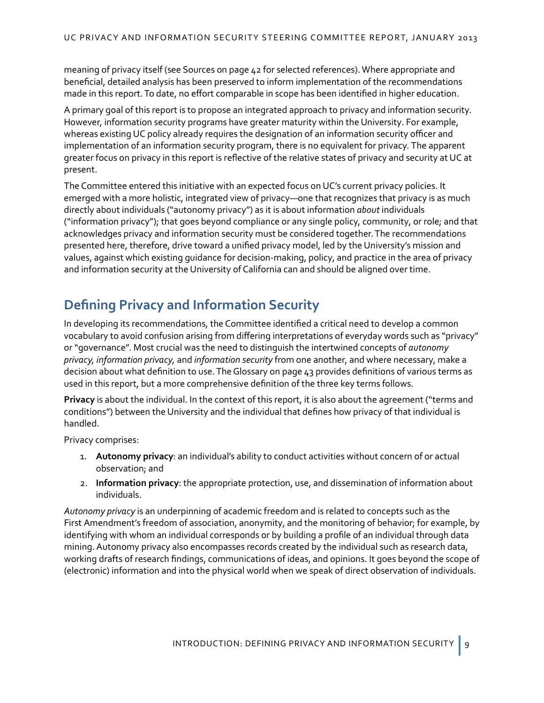meaning of privacy itself (see [Sources](#page-45-0) on page [42](#page-45-0) for selected references). Where appropriate and beneficial, detailed analysis has been preserved to inform implementation of the recommendations made in this report.To date, no effort comparable in scope has been identified in higher education.

A primary goal of this report is to propose an integrated approach to privacy and information security. However, information security programs have greater maturity within the University. For example, whereas existing UC policy already requires the designation of an information security officer and implementation of an information security program, there is no equivalent for privacy. The apparent greater focus on privacy in this report is reflective of the relative states of privacy and security at UC at present.

The Committee entered this initiative with an expected focus on UC's current privacy policies. It emerged with a more holistic, integrated view of privacy—one that recognizes that privacy is as much directly about individuals ("autonomy privacy") as it is about information *about* individuals ("information privacy"); that goes beyond compliance or any single policy, community, or role; and that acknowledges privacy and information security must be considered together. The recommendations presented here, therefore, drive toward a unified privacy model, led by the University's mission and values, against which existing guidance for decision-making, policy, and practice in the area of privacy and information security at the University of California can and should be aligned over time.

# **Defining Privacy and Information Security**

In developing its recommendations, the Committee identified a critical need to develop a common vocabulary to avoid confusion arising from differing interpretations of everyday words such as "privacy" or "governance". Most crucial was the need to distinguish the intertwined concepts of *autonomy privacy, information privacy,* and *information security* from one another, and where necessary, make a decision about what definition to use. Th[e Glossary](#page-46-0) on page [43](#page-46-0) provides definitions of various terms as used in this report, but a more comprehensive definition of the three key terms follows.

**Privacy** is about the individual. In the context of this report, it is also about the agreement ("terms and conditions") between the University and the individual that defines how privacy of that individual is handled.

Privacy comprises:

- 1. **Autonomy privacy**: an individual's ability to conduct activities without concern of or actual observation; and
- 2. **Information privacy**: the appropriate protection, use, and dissemination of information about individuals.

*Autonomy privacy* is an underpinning of academic freedom and is related to concepts such as the First Amendment's freedom of association, anonymity, and the monitoring of behavior; for example, by identifying with whom an individual corresponds or by building a profile of an individual through data mining. Autonomy privacy also encompasses records created by the individual such as research data, working drafts of research findings, communications of ideas, and opinions. It goes beyond the scope of (electronic) information and into the physical world when we speak of direct observation of individuals.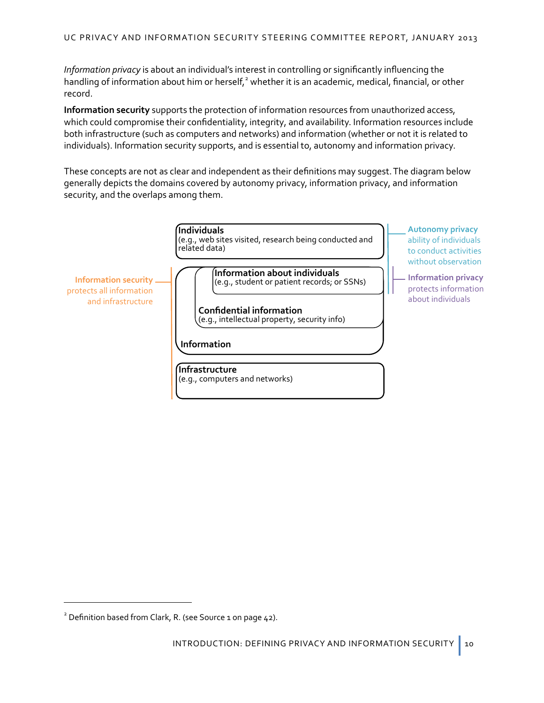*Information privacy* is about an individual's interest in controlling or significantly influencing the handling of information about him or herself,<sup>[2](#page-13-0)</sup> whether it is an academic, medical, financial, or other record.

**Information security** supports the protection of information resources from unauthorized access, which could compromise their confidentiality, integrity, and availability. Information resources include both infrastructure (such as computers and networks) and information (whether or not it is related to individuals). Information security supports, and is essential to, autonomy and information privacy.

These concepts are not as clear and independent as their definitions may suggest. The diagram below generally depicts the domains covered by autonomy privacy, information privacy, and information security, and the overlaps among them.



 $\overline{a}$ 

<span id="page-13-0"></span><sup>&</sup>lt;sup>2</sup> Definition based from Clark, R. (see Source [1](#page-45-1) on page [42\)](#page-45-1).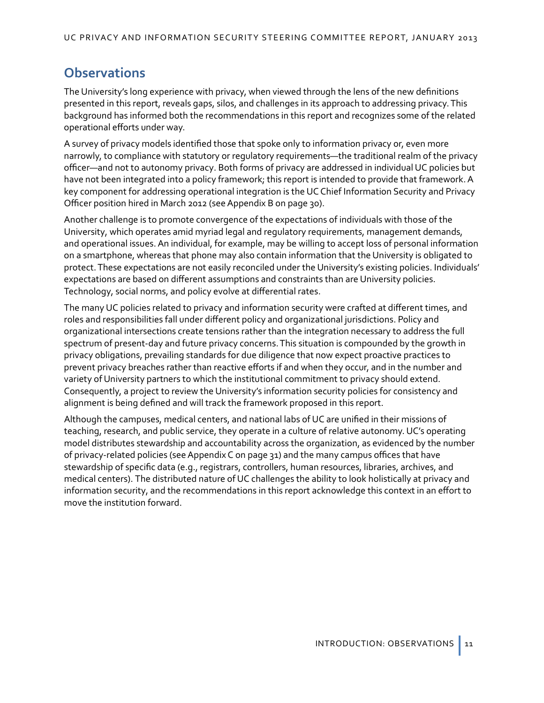# **Observations**

The University's long experience with privacy, when viewed through the lens of the new definitions presented in this report, reveals gaps, silos, and challenges in its approach to addressing privacy.This background has informed both the recommendations in this report and recognizes some of the related operational efforts under way.

A survey of privacy models identified those that spoke only to information privacy or, even more narrowly, to compliance with statutory or regulatory requirements—the traditional realm of the privacy officer—and not to autonomy privacy. Both forms of privacy are addressed in individual UC policies but have not been integrated into a policy framework; this report is intended to provide that framework.A key component for addressing operational integration is the UC Chief Information Security and Privacy Officer position hired in March 2012 (see [Appendix B](#page-33-0) on pag[e 30\)](#page-33-0).

Another challenge is to promote convergence of the expectations of individuals with those of the University, which operates amid myriad legal and regulatory requirements, management demands, and operational issues. An individual, for example, may be willing to accept loss of personal information on a smartphone, whereas that phone may also contain information that the University is obligated to protect. These expectations are not easily reconciled under the University's existing policies. Individuals' expectations are based on different assumptions and constraints than are University policies. Technology, social norms, and policy evolve at differential rates.

The many UC policies related to privacy and information security were crafted at different times, and roles and responsibilities fall under different policy and organizational jurisdictions. Policy and organizational intersections create tensions rather than the integration necessary to address the full spectrum of present-day and future privacy concerns. This situation is compounded by the growth in privacy obligations, prevailing standards for due diligence that now expect proactive practices to prevent privacy breaches rather than reactive efforts if and when they occur, and in the number and variety of University partners to which the institutional commitment to privacy should extend. Consequently, a project to review the University's information security policies for consistency and alignment is being defined and will track the framework proposed in this report.

Although the campuses, medical centers, and national labs of UC are unified in their missions of teaching, research, and public service, they operate in a culture of relative autonomy. UC's operating model distributes stewardship and accountability across the organization, as evidenced by the number of privacy-related policies (se[e Appendix C](#page-34-0) on page [31](#page-34-0)) and the many campus offices that have stewardship of specific data (e.g., registrars, controllers, human resources, libraries, archives, and medical centers). The distributed nature of UC challenges the ability to look holistically at privacy and information security, and the recommendations in this report acknowledge this context in an effort to move the institution forward.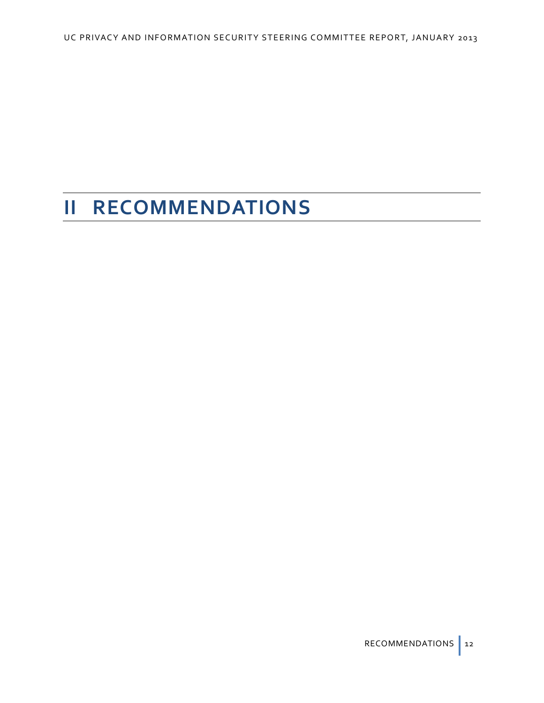# **II RECOMMENDATIONS**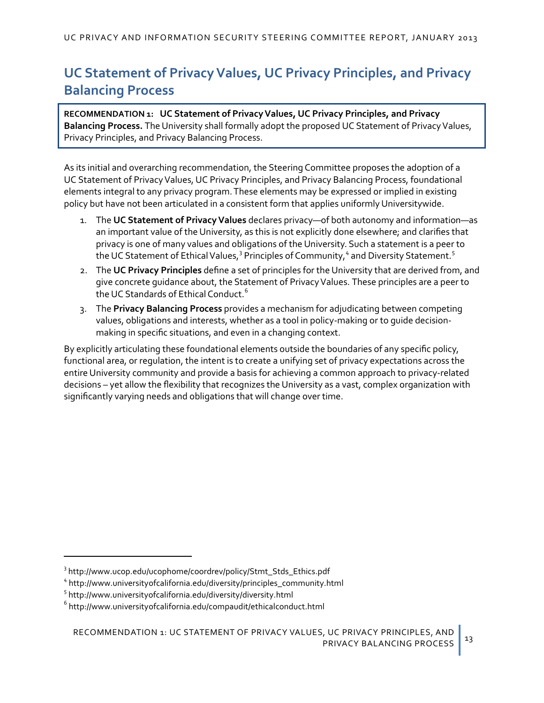# **UC Statement of Privacy Values, UC Privacy Principles, and Privacy Balancing Process**

<span id="page-16-0"></span>**RECOMMENDATION 1: UC Statement of Privacy Values, UC Privacy Principles, and Privacy Balancing Process.** The University shall formally adopt the proposed UC Statement of Privacy Values, Privacy Principles, and Privacy Balancing Process.

As its initial and overarching recommendation, the Steering Committee proposes the adoption of a UC Statement of Privacy Values, UC Privacy Principles, and Privacy Balancing Process, foundational elements integral to any privacy program. These elements may be expressed or implied in existing policy but have not been articulated in a consistent form that applies uniformly Universitywide.

- 1. The **UC Statement of Privacy Values** declares privacy—of both autonomy and information—as an important value of the University, as this is not explicitly done elsewhere; and clarifies that privacy is one of many values and obligations of the University. Such a statement is a peer to the UC Statement of Ethical Values,<sup>[3](#page-16-1)</sup> Principles of Community,<sup>[4](#page-16-2)</sup> and Diversity Statement.<sup>[5](#page-16-3)</sup>
- 2. The **UC Privacy Principles** define a set of principles for the University that are derived from, and give concrete guidance about, the Statement of Privacy Values. These principles are a peer to the UC Standards of Ethical Conduct.<sup>[6](#page-16-4)</sup>
- 3. The **Privacy Balancing Process** provides a mechanism for adjudicating between competing values, obligations and interests, whether as a tool in policy-making or to guide decisionmaking in specific situations, and even in a changing context.

By explicitly articulating these foundational elements outside the boundaries of any specific policy, functional area, or regulation, the intent is to create a unifying set of privacy expectations across the entire University community and provide a basis for achieving a common approach to privacy-related decisions – yet allow the flexibility that recognizes the University as a vast, complex organization with significantly varying needs and obligations that will change over time.

<span id="page-16-3"></span><sup>5</sup> <http://www.universityofcalifornia.edu/diversity/diversity.html>

 $\overline{a}$ 

<span id="page-16-1"></span><sup>&</sup>lt;sup>3</sup> h[ttp://www.ucop.edu/ucophome/coordrev/policy/Stmt\\_Stds\\_Ethics.pdf](http://www.ucop.edu/ucophome/coordrev/policy/Stmt_Stds_Ethics.pdf)

<span id="page-16-2"></span><sup>4</sup> [http://www.universityofcalifornia.edu/diversity/principles\\_community.html](http://www.universityofcalifornia.edu/diversity/principles_community.html)

<span id="page-16-4"></span> $6$  [http://www.universityofcalifornia.edu/compaudit/eth](http://www.universityofcalifornia.edu/compaudit/ethicalconduct.html)icalconduct.html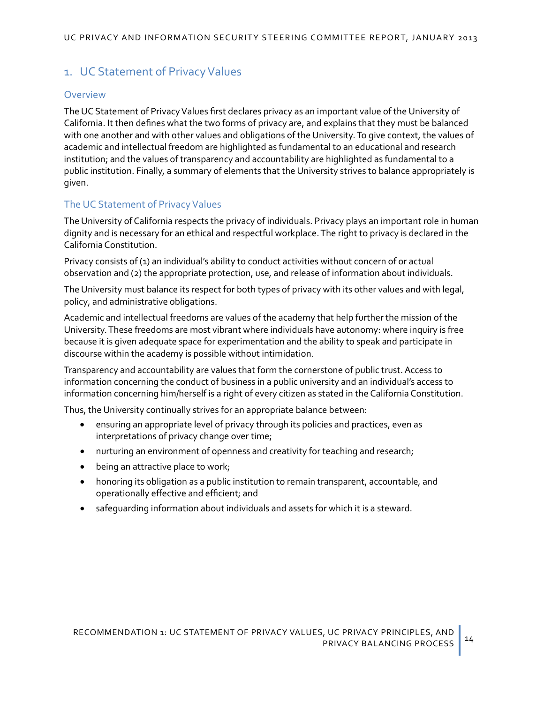# 1. UC Statement of Privacy Values

#### Overview

The UC Statement of Privacy Values first declares privacy as an important value of the University of California. It then defines what the two forms of privacy are, and explains that they must be balanced with one another and with other values and obligations of the University. To give context, the values of academic and intellectual freedom are highlighted as fundamental to an educational and research institution; and the values of transparency and accountability are highlighted as fundamental to a public institution. Finally, a summary of elements that the University strives to balance appropriately is given.

## The UC Statement of Privacy Values

The University of California respects the privacy of individuals. Privacy plays an important role in human dignity and is necessary for an ethical and respectful workplace. The right to privacy is declared in the California Constitution.

Privacy consists of (1) an individual's ability to conduct activities without concern of or actual observation and (2) the appropriate protection, use, and release of information about individuals.

The University must balance its respect for both types of privacy with its other values and with legal, policy, and administrative obligations.

Academic and intellectual freedoms are values of the academy that help further the mission of the University. These freedoms are most vibrant where individuals have autonomy: where inquiry is free because it is given adequate space for experimentation and the ability to speak and participate in discourse within the academy is possible without intimidation.

Transparency and accountability are values that form the cornerstone of public trust. Access to information concerning the conduct of business in a public university and an individual's access to information concerning him/herself is a right of every citizen as stated in the California Constitution.

Thus, the University continually strives for an appropriate balance between:

- ensuring an appropriate level of privacy through its policies and practices, even as interpretations of privacy change over time;
- nurturing an environment of openness and creativity for teaching and research;
- being an attractive place to work;
- honoring its obligation as a public institution to remain transparent, accountable, and operationally effective and efficient; and
- safeguarding information about individuals and assets for which it is a steward.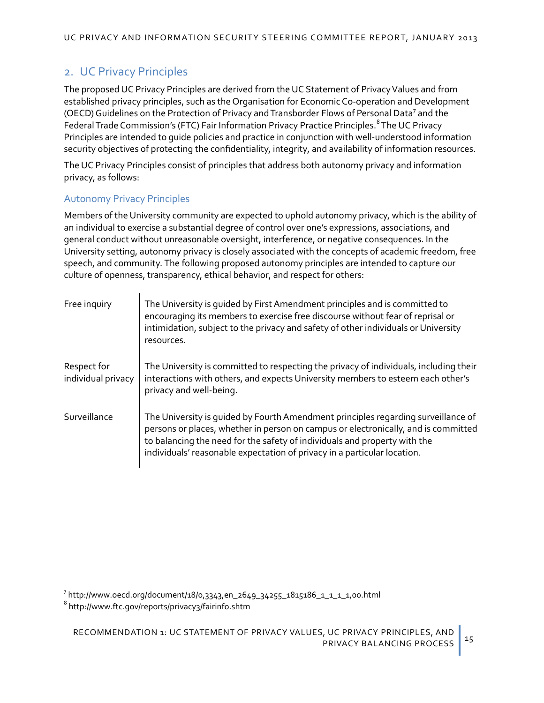# 2. UC Privacy Principles

The proposed UC Privacy Principles are derived from the UC Statement of Privacy Values and from established privacy principles, such as the Organisation for Economic Co-operation and Development (OECD) Guidelines on the Protection of Privacy and Transborder Flows of Personal Data<sup>[7](#page-18-0)</sup> and the Federal Trade Commission's (FTC) Fair Information Privacy Practice Principles. <sup>[8](#page-18-1)</sup> The UC Privacy Principles are intended to guide policies and practice in conjunction with well-understood information security objectives of protecting the confidentiality, integrity, and availability of information resources.

The UC Privacy Principles consist of principles that address both autonomy privacy and information privacy, as follows:

#### Autonomy Privacy Principles

Members of the University community are expected to uphold autonomy privacy, which is the ability of an individual to exercise a substantial degree of control over one's expressions, associations, and general conduct without unreasonable oversight, interference, or negative consequences. In the University setting, autonomy privacy is closely associated with the concepts of academic freedom, free speech, and community. The following proposed autonomy principles are intended to capture our culture of openness, transparency, ethical behavior, and respect for others:

| Free inquiry                      | The University is guided by First Amendment principles and is committed to<br>encouraging its members to exercise free discourse without fear of reprisal or<br>intimidation, subject to the privacy and safety of other individuals or University<br>resources.                                                                 |
|-----------------------------------|----------------------------------------------------------------------------------------------------------------------------------------------------------------------------------------------------------------------------------------------------------------------------------------------------------------------------------|
| Respect for<br>individual privacy | The University is committed to respecting the privacy of individuals, including their<br>interactions with others, and expects University members to esteem each other's<br>privacy and well-being.                                                                                                                              |
| Surveillance                      | The University is guided by Fourth Amendment principles regarding surveillance of<br>persons or places, whether in person on campus or electronically, and is committed<br>to balancing the need for the safety of individuals and property with the<br>individuals' reasonable expectation of privacy in a particular location. |

 $\overline{a}$ 

<span id="page-18-0"></span><sup>&</sup>lt;sup>7</sup> [http://www.oecd.org/document/18/0,3343,en\\_2649\\_34255\\_1815186\\_1\\_1\\_1\\_1,00.html](http://www.oecd.org/document/18/0,3343,en_2649_34255_1815186_1_1_1_1,00.html)

<span id="page-18-1"></span><sup>8</sup> <http://www.ftc.gov/reports/privacy3/fairinfo.shtm>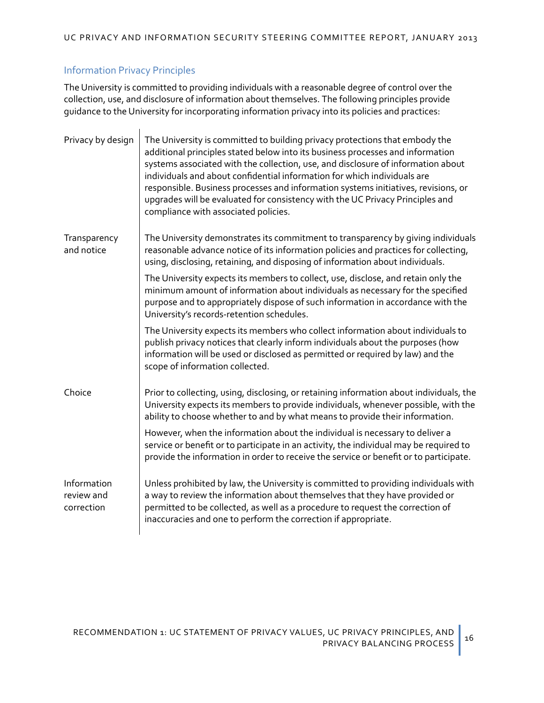## Information Privacy Principles

The University is committed to providing individuals with a reasonable degree of control over the collection, use, and disclosure of information about themselves. The following principles provide guidance to the University for incorporating information privacy into its policies and practices:

| Privacy by design                       | The University is committed to building privacy protections that embody the<br>additional principles stated below into its business processes and information<br>systems associated with the collection, use, and disclosure of information about<br>individuals and about confidential information for which individuals are<br>responsible. Business processes and information systems initiatives, revisions, or<br>upgrades will be evaluated for consistency with the UC Privacy Principles and<br>compliance with associated policies. |
|-----------------------------------------|----------------------------------------------------------------------------------------------------------------------------------------------------------------------------------------------------------------------------------------------------------------------------------------------------------------------------------------------------------------------------------------------------------------------------------------------------------------------------------------------------------------------------------------------|
| Transparency<br>and notice              | The University demonstrates its commitment to transparency by giving individuals<br>reasonable advance notice of its information policies and practices for collecting,<br>using, disclosing, retaining, and disposing of information about individuals.                                                                                                                                                                                                                                                                                     |
|                                         | The University expects its members to collect, use, disclose, and retain only the<br>minimum amount of information about individuals as necessary for the specified<br>purpose and to appropriately dispose of such information in accordance with the<br>University's records-retention schedules.                                                                                                                                                                                                                                          |
|                                         | The University expects its members who collect information about individuals to<br>publish privacy notices that clearly inform individuals about the purposes (how<br>information will be used or disclosed as permitted or required by law) and the<br>scope of information collected.                                                                                                                                                                                                                                                      |
| Choice                                  | Prior to collecting, using, disclosing, or retaining information about individuals, the<br>University expects its members to provide individuals, whenever possible, with the<br>ability to choose whether to and by what means to provide their information.                                                                                                                                                                                                                                                                                |
|                                         | However, when the information about the individual is necessary to deliver a<br>service or benefit or to participate in an activity, the individual may be required to<br>provide the information in order to receive the service or benefit or to participate.                                                                                                                                                                                                                                                                              |
| Information<br>review and<br>correction | Unless prohibited by law, the University is committed to providing individuals with<br>a way to review the information about themselves that they have provided or<br>permitted to be collected, as well as a procedure to request the correction of<br>inaccuracies and one to perform the correction if appropriate.                                                                                                                                                                                                                       |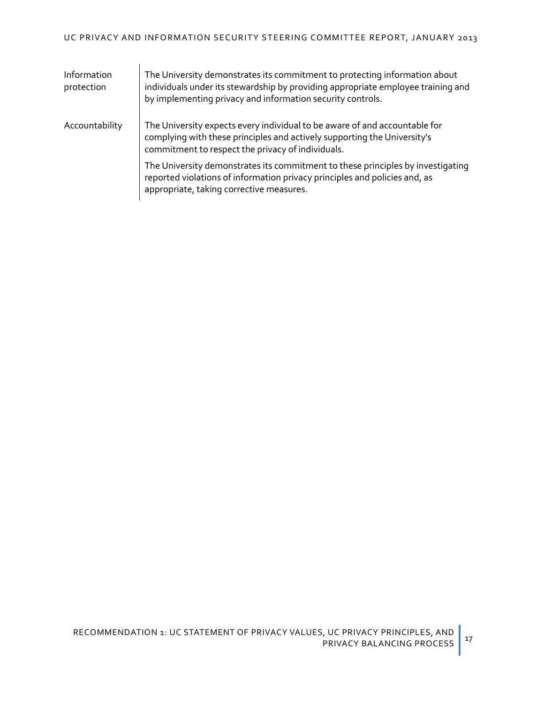| Information<br>protection | The University demonstrates its commitment to protecting information about<br>individuals under its stewardship by providing appropriate employee training and<br>by implementing privacy and information security controls. |
|---------------------------|------------------------------------------------------------------------------------------------------------------------------------------------------------------------------------------------------------------------------|
| Accountability            | The University expects every individual to be aware of and accountable for<br>complying with these principles and actively supporting the University's<br>commitment to respect the privacy of individuals.                  |
|                           | The University demonstrates its commitment to these principles by investigating<br>reported violations of information privacy principles and policies and, as<br>appropriate, taking corrective measures.                    |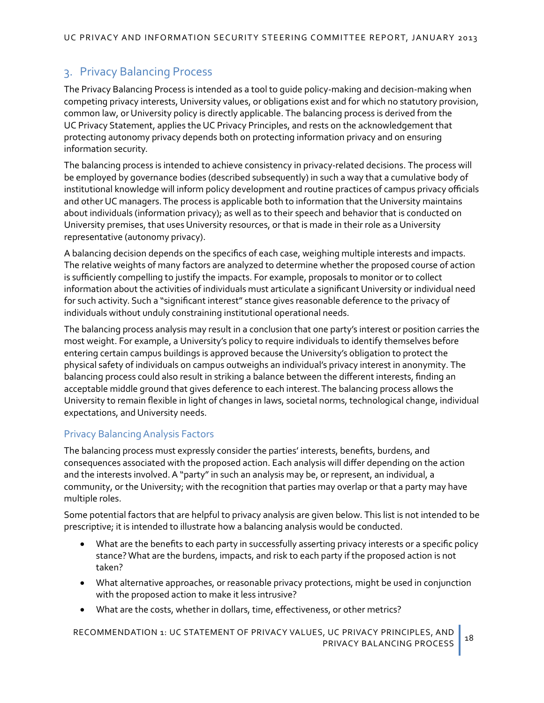# 3. Privacy Balancing Process

The Privacy Balancing Process is intended as a tool to guide policy-making and decision-making when competing privacy interests, University values, or obligations exist and for which no statutory provision, common law, or University policy is directly applicable. The balancing process is derived from the UC Privacy Statement, applies the UC Privacy Principles, and rests on the acknowledgement that protecting autonomy privacy depends both on protecting information privacy and on ensuring information security.

The balancing process is intended to achieve consistency in privacy-related decisions. The process will be employed by governance bodies (described subsequently) in such a way that a cumulative body of institutional knowledge will inform policy development and routine practices of campus privacy officials and other UC managers. The process is applicable both to information that the University maintains about individuals (information privacy); as well as to their speech and behavior that is conducted on University premises, that uses University resources, or that is made in their role as a University representative (autonomy privacy).

A balancing decision depends on the specifics of each case, weighing multiple interests and impacts. The relative weights of many factors are analyzed to determine whether the proposed course of action is sufficiently compelling to justify the impacts. For example, proposals to monitor or to collect information about the activities of individuals must articulate a significant University or individual need for such activity. Such a "significant interest" stance gives reasonable deference to the privacy of individuals without unduly constraining institutional operational needs.

The balancing process analysis may result in a conclusion that one party's interest or position carries the most weight. For example, a University's policy to require individuals to identify themselves before entering certain campus buildings is approved because the University's obligation to protect the physical safety of individuals on campus outweighs an individual's privacy interest in anonymity. The balancing process could also result in striking a balance between the different interests, finding an acceptable middle ground that gives deference to each interest.The balancing process allows the University to remain flexible in light of changes in laws, societal norms, technological change, individual expectations, and University needs.

#### Privacy Balancing Analysis Factors

The balancing process must expressly consider the parties' interests, benefits, burdens, and consequences associated with the proposed action. Each analysis will differ depending on the action and the interests involved.A "party" in such an analysis may be, or represent, an individual, a community, or the University; with the recognition that parties may overlap or that a party may have multiple roles.

Some potential factors that are helpful to privacy analysis are given below. This list is not intended to be prescriptive; it is intended to illustrate how a balancing analysis would be conducted.

- What are the benefits to each party in successfully asserting privacy interests or a specific policy stance? What are the burdens, impacts, and risk to each party if the proposed action is not taken?
- What alternative approaches, or reasonable privacy protections, might be used in conjunction with the proposed action to make it less intrusive?
- What are the costs, whether in dollars, time, effectiveness, or other metrics?

[RECOMMENDATION 1:](#page-16-0) UC STATEMENT OF PRIVACY VALUES, UC PRIVACY PRINCIPLES, AND PRIVACY BALANCING PROCESS <sup>18</sup>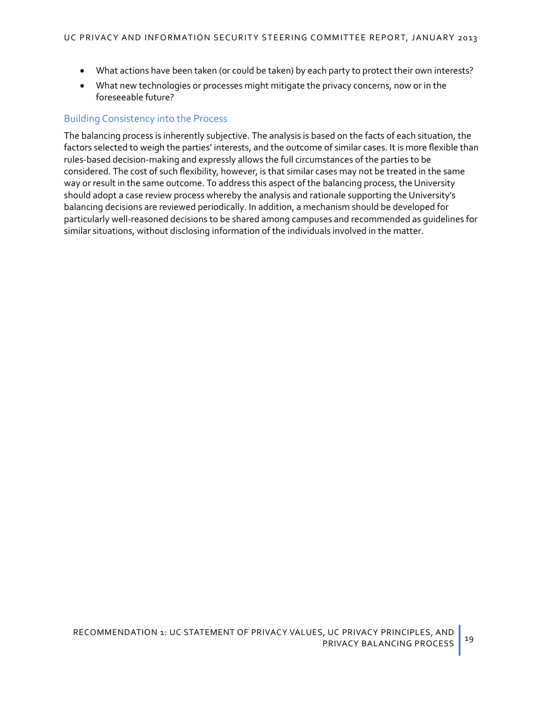- What actions have been taken (or could be taken) by each party to protect their own interests?
- What new technologies or processes might mitigate the privacy concerns, now or in the foreseeable future?

#### <span id="page-22-0"></span>Building Consistency into the Process

The balancing process is inherently subjective. The analysis is based on the facts of each situation, the factors selected to weigh the parties' interests, and the outcome of similar cases. It is more flexible than rules-based decision-making and expressly allows the full circumstances of the parties to be considered. The cost of such flexibility, however, is that similar cases may not be treated in the same way or result in the same outcome. To address this aspect of the balancing process, the University should adopt a case review process whereby the analysis and rationale supporting the University's balancing decisions are reviewed periodically. In addition, a mechanism should be developed for particularly well-reasoned decisions to be shared among campuses and recommended as guidelines for similar situations, without disclosing information of the individuals involved in the matter.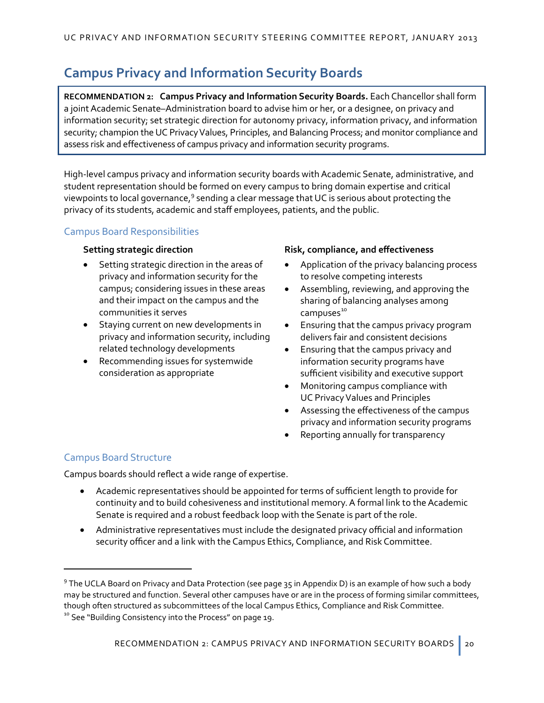# **Campus Privacy and Information Security Boards**

**RECOMMENDATION 2: Campus Privacy and Information Security Boards.** Each Chancellor shall form a joint Academic Senate–Administration board to advise him or her, or a designee, on privacy and information security; set strategic direction for autonomy privacy, information privacy, and information security; champion the UC Privacy Values, Principles, and Balancing Process; and monitor compliance and assess risk and effectiveness of campus privacy and information security programs.

High-level campus privacy and information security boards with Academic Senate, administrative, and student representation should be formed on every campus to bring domain expertise and critical viewpoints to local governance,<sup>[9](#page-23-0)</sup> sending a clear message that UC is serious about protecting the privacy of its students, academic and staff employees, patients, and the public.

# Campus Board Responsibilities

- Setting strategic direction in the areas of privacy and information security for the campus; considering issues in these areas and their impact on the campus and the communities it serves
- Staying current on new developments in privacy and information security, including related technology developments
- Recommending issues for systemwide consideration as appropriate

#### **Setting strategic direction Risk, compliance, and effectiveness**

- Application of the privacy balancing process to resolve competing interests
- Assembling, reviewing, and approving the sharing of balancing analyses among campuses<sup>[10](#page-23-1)</sup>
- Ensuring that the campus privacy program delivers fair and consistent decisions
- Ensuring that the campus privacy and information security programs have sufficient visibility and executive support
- Monitoring campus compliance with UC Privacy Values and Principles
- Assessing the effectiveness of the campus privacy and information security programs
- Reporting annually for transparency

# Campus Board Structure

 $\overline{a}$ 

Campus boards should reflect a wide range of expertise.

- Academic representatives should be appointed for terms of sufficient length to provide for continuity and to build cohesiveness and institutional memory. A formal link to the Academic Senate is required and a robust feedback loop with the Senate is part of the role.
- Administrative representatives must include the designated privacy official and information security officer and a link with the Campus Ethics, Compliance, and Risk Committee.

<span id="page-23-1"></span><span id="page-23-0"></span><sup>&</sup>lt;sup>9</sup> The UCLA Board on Privacy and Data Protection (see pag[e 35](#page-38-0) i[n Appendix D](#page-36-0)) is an example of how such a body may be structured and function. Several other campuses have or are in the process of forming similar committees, though often structured as subcommittees of the local Campus Ethics, Compliance and Risk Committee. <sup>10</sup> See "[Building Consistency into the Process](#page-22-0)" on pag[e 19.](#page-22-0)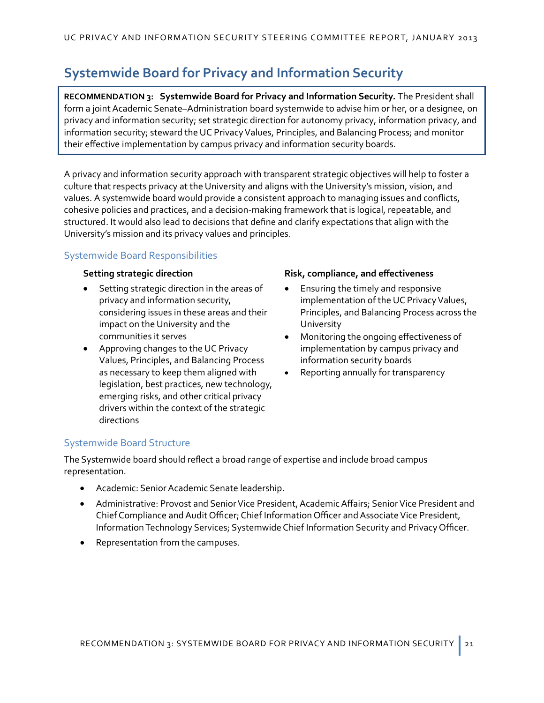# **Systemwide Board for Privacy and Information Security**

**RECOMMENDATION 3: Systemwide Board for Privacy and Information Security.** The President shall form a joint Academic Senate–Administration board systemwide to advise him or her, or a designee, on privacy and information security; set strategic direction for autonomy privacy, information privacy, and information security; steward the UC Privacy Values, Principles, and Balancing Process; and monitor their effective implementation by campus privacy and information security boards.

A privacy and information security approach with transparent strategic objectives will help to foster a culture that respects privacy at the University and aligns with the University's mission, vision, and values. A systemwide board would provide a consistent approach to managing issues and conflicts, cohesive policies and practices, and a decision-making framework that is logical, repeatable, and structured. It would also lead to decisions that define and clarify expectations that align with the University's mission and its privacy values and principles.

## Systemwide Board Responsibilities

- Setting strategic direction in the areas of privacy and information security, considering issues in these areas and their impact on the University and the communities it serves
- Approving changes to the UC Privacy Values, Principles, and Balancing Process as necessary to keep them aligned with legislation, best practices, new technology, emerging risks, and other critical privacy drivers within the context of the strategic directions

#### **Setting strategic direction Risk, compliance, and effectiveness**

- Ensuring the timely and responsive implementation of the UC Privacy Values, Principles, and Balancing Process across the University
- Monitoring the ongoing effectiveness of implementation by campus privacy and information security boards
- Reporting annually for transparency

#### Systemwide Board Structure

The Systemwide board should reflect a broad range of expertise and include broad campus representation.

- Academic: Senior Academic Senate leadership.
- Administrative: Provost and Senior Vice President, Academic Affairs; Senior Vice President and Chief Compliance and Audit Officer; Chief Information Officer and Associate Vice President, Information Technology Services; Systemwide Chief Information Security and Privacy Officer.
- Representation from the campuses.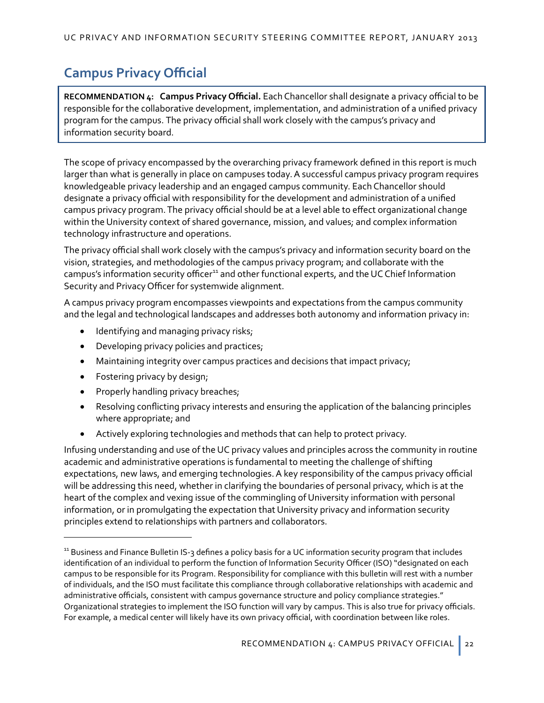# **Campus Privacy Official**

**RECOMMENDATION 4: Campus Privacy Official.** Each Chancellor shall designate a privacy official to be responsible for the collaborative development, implementation, and administration of a unified privacy program for the campus. The privacy official shall work closely with the campus's privacy and information security board.

The scope of privacy encompassed by the overarching privacy framework defined in this report is much larger than what is generally in place on campuses today. A successful campus privacy program requires knowledgeable privacy leadership and an engaged campus community. Each Chancellor should designate a privacy official with responsibility for the development and administration of a unified campus privacy program. The privacy official should be at a level able to effect organizational change within the University context of shared governance, mission, and values; and complex information technology infrastructure and operations.

The privacy official shall work closely with the campus's privacy and information security board on the vision, strategies, and methodologies of the campus privacy program; and collaborate with the campus's information security officer<sup>[11](#page-25-0)</sup> and other functional experts, and the UC Chief Information Security and Privacy Officer for systemwide alignment.

A campus privacy program encompasses viewpoints and expectations from the campus community and the legal and technological landscapes and addresses both autonomy and information privacy in:

- Identifying and managing privacy risks;
- Developing privacy policies and practices;
- Maintaining integrity over campus practices and decisions that impact privacy;
- Fostering privacy by design;

 $\overline{a}$ 

- Properly handling privacy breaches;
- Resolving conflicting privacy interests and ensuring the application of the balancing principles where appropriate; and
- Actively exploring technologies and methods that can help to protect privacy.

Infusing understanding and use of the UC privacy values and principles across the community in routine academic and administrative operations is fundamental to meeting the challenge of shifting expectations, new laws, and emerging technologies. A key responsibility of the campus privacy official will be addressing this need, whether in clarifying the boundaries of personal privacy, which is at the heart of the complex and vexing issue of the commingling of University information with personal information, or in promulgating the expectation that University privacy and information security principles extend to relationships with partners and collaborators.

<span id="page-25-0"></span><sup>&</sup>lt;sup>11</sup> Business and Finance Bulletin IS-3 defines a policy basis for a UC information security program that includes identification of an individual to perform the function of Information Security Officer (ISO) "designated on each campus to be responsible for its Program. Responsibility for compliance with this bulletin will rest with a number of individuals, and the ISO must facilitate this compliance through collaborative relationships with academic and administrative officials, consistent with campus governance structure and policy compliance strategies." Organizational strategies to implement the ISO function will vary by campus. This is also true for privacy officials. For example, a medical center will likely have its own privacy official, with coordination between like roles.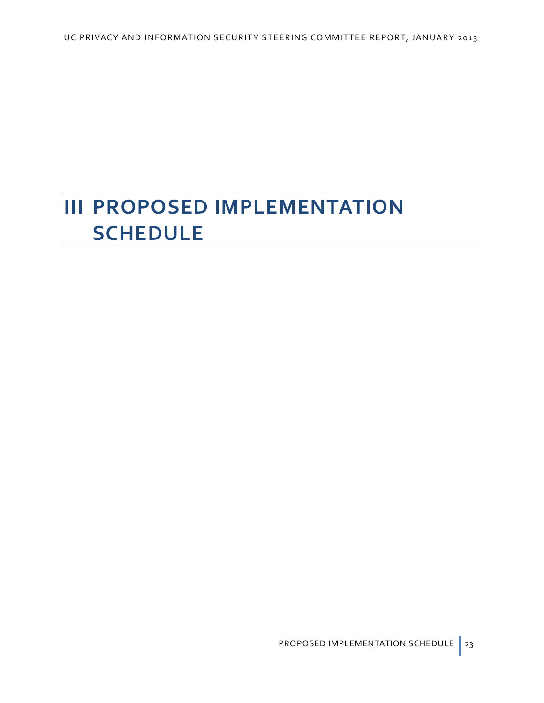# **III PROPOSED IMPLEMENTATION SCHEDULE**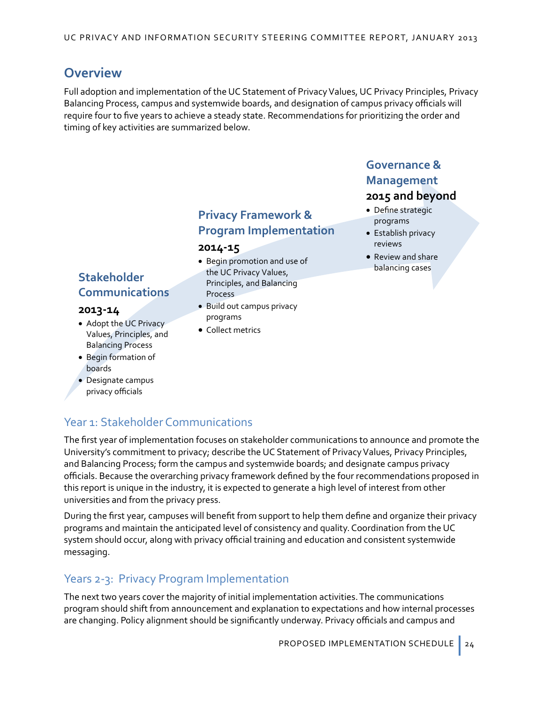# **Overview**

Full adoption and implementation of the UC Statement of Privacy Values, UC Privacy Principles, Privacy Balancing Process, campus and systemwide boards, and designation of campus privacy officials will require four to five years to achieve a steady state. Recommendations for prioritizing the order and timing of key activities are summarized below.

# **Stakeholder Communications**

#### **2013-14**

- Adopt the UC Privacy Values, Principles, and Balancing Process
- Begin formation of boards
- Designate campus privacy officials

# **Privacy Framework & Program Implementation**

#### **2014-15**

- Begin promotion and use of the UC Privacy Values, Principles, and Balancing Process
- Build out campus privacy programs
- Collect metrics

# **2015 and beyond Governance & Management**

- Define strategic
- programs • Establish privacy reviews
- Review and share balancing cases

# Year 1: Stakeholder Communications

The first year of implementation focuses on stakeholder communications to announce and promote the University's commitment to privacy; describe the UC Statement of Privacy Values, Privacy Principles, and Balancing Process; form the campus and systemwide boards; and designate campus privacy officials. Because the overarching privacy framework defined by the four recommendations proposed in this report is unique in the industry, it is expected to generate a high level of interest from other universities and from the privacy press.

During the first year, campuses will benefit from support to help them define and organize their privacy programs and maintain the anticipated level of consistency and quality. Coordination from the UC system should occur, along with privacy official training and education and consistent systemwide messaging.

# Years 2-3: Privacy Program Implementation

The next two years cover the majority of initial implementation activities. The communications program should shift from announcement and explanation to expectations and how internal processes are changing. Policy alignment should be significantly underway. Privacy officials and campus and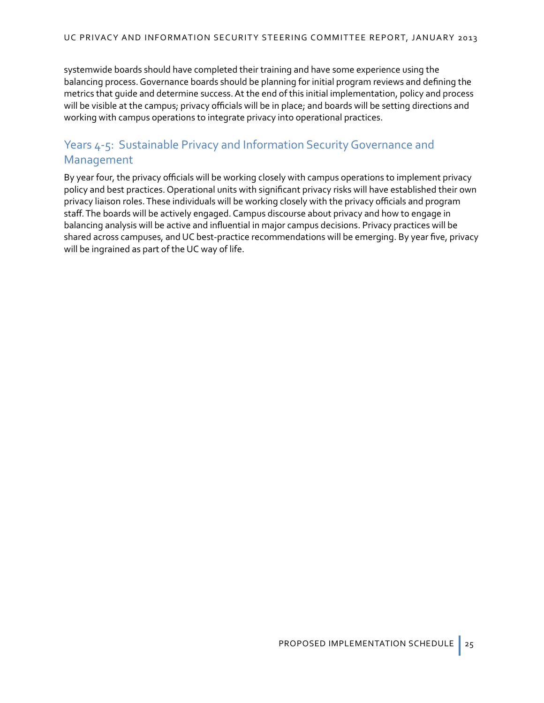systemwide boards should have completed their training and have some experience using the balancing process. Governance boards should be planning for initial program reviews and defining the metrics that guide and determine success. At the end of this initial implementation, policy and process will be visible at the campus; privacy officials will be in place; and boards will be setting directions and working with campus operations to integrate privacy into operational practices.

# Years 4-5: Sustainable Privacy and Information Security Governance and Management

By year four, the privacy officials will be working closely with campus operations to implement privacy policy and best practices. Operational units with significant privacy risks will have established their own privacy liaison roles. These individuals will be working closely with the privacy officials and program staff. The boards will be actively engaged. Campus discourse about privacy and how to engage in balancing analysis will be active and influential in major campus decisions. Privacy practices will be shared across campuses, and UC best-practice recommendations will be emerging. By year five, privacy will be ingrained as part of the UC way of life.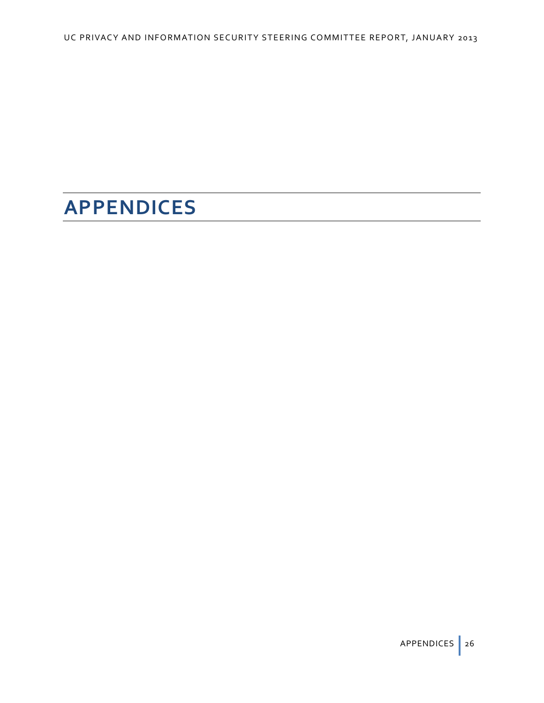# **APPENDICES**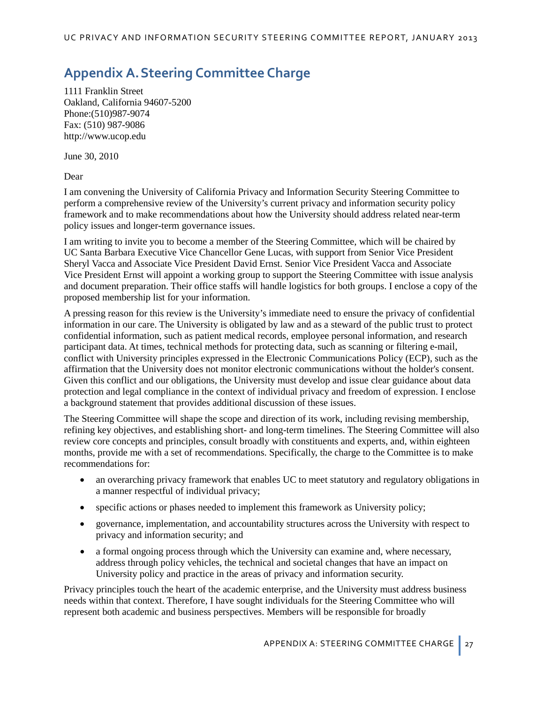# <span id="page-30-0"></span>**Appendix A.Steering Committee Charge**

1111 Franklin Street Oakland, California 94607-5200 Phone:(510)987-9074 Fax: (510) 987-9086 http://www.ucop.edu

June 30, 2010

Dear

I am convening the University of California Privacy and Information Security Steering Committee to perform a comprehensive review of the University's current privacy and information security policy framework and to make recommendations about how the University should address related near-term policy issues and longer-term governance issues.

I am writing to invite you to become a member of the Steering Committee, which will be chaired by UC Santa Barbara Executive Vice Chancellor Gene Lucas, with support from Senior Vice President Sheryl Vacca and Associate Vice President David Ernst. Senior Vice President Vacca and Associate Vice President Ernst will appoint a working group to support the Steering Committee with issue analysis and document preparation. Their office staffs will handle logistics for both groups. I enclose a copy of the proposed membership list for your information.

A pressing reason for this review is the University's immediate need to ensure the privacy of confidential information in our care. The University is obligated by law and as a steward of the public trust to protect confidential information, such as patient medical records, employee personal information, and research participant data. At times, technical methods for protecting data, such as scanning or filtering e-mail, conflict with University principles expressed in the Electronic Communications Policy (ECP), such as the affirmation that the University does not monitor electronic communications without the holder's consent. Given this conflict and our obligations, the University must develop and issue clear guidance about data protection and legal compliance in the context of individual privacy and freedom of expression. I enclose a background statement that provides additional discussion of these issues.

The Steering Committee will shape the scope and direction of its work, including revising membership, refining key objectives, and establishing short- and long-term timelines. The Steering Committee will also review core concepts and principles, consult broadly with constituents and experts, and, within eighteen months, provide me with a set of recommendations. Specifically, the charge to the Committee is to make recommendations for:

- an overarching privacy framework that enables UC to meet statutory and regulatory obligations in a manner respectful of individual privacy;
- specific actions or phases needed to implement this framework as University policy;
- governance, implementation, and accountability structures across the University with respect to privacy and information security; and
- a formal ongoing process through which the University can examine and, where necessary, address through policy vehicles, the technical and societal changes that have an impact on University policy and practice in the areas of privacy and information security.

Privacy principles touch the heart of the academic enterprise, and the University must address business needs within that context. Therefore, I have sought individuals for the Steering Committee who will represent both academic and business perspectives. Members will be responsible for broadly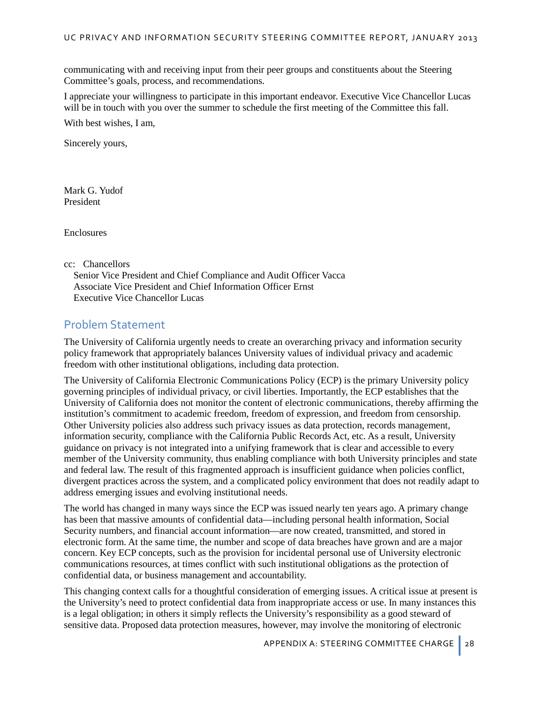communicating with and receiving input from their peer groups and constituents about the Steering Committee's goals, process, and recommendations.

I appreciate your willingness to participate in this important endeavor. Executive Vice Chancellor Lucas will be in touch with you over the summer to schedule the first meeting of the Committee this fall.

With best wishes, I am,

Sincerely yours,

Mark G. Yudof President

Enclosures

cc: Chancellors

Senior Vice President and Chief Compliance and Audit Officer Vacca Associate Vice President and Chief Information Officer Ernst Executive Vice Chancellor Lucas

#### Problem Statement

The University of California urgently needs to create an overarching privacy and information security policy framework that appropriately balances University values of individual privacy and academic freedom with other institutional obligations, including data protection.

The [University of California Electronic Communications Policy \(ECP\)](http://www.ucop.edu/ucophome/policies/ec/) is the primary University policy governing principles of individual privacy, or civil liberties. Importantly, the ECP establishes that the University of California does not monitor the content of electronic communications, thereby affirming the institution's commitment to academic freedom, freedom of expression, and freedom from censorship. Other University policies also address such privacy issues as data protection, records management, information security, compliance with the California Public Records Act, etc. As a result, University guidance on privacy is not integrated into a unifying framework that is clear and accessible to every member of the University community, thus enabling compliance with both University principles and state and federal law. The result of this fragmented approach is insufficient guidance when policies conflict, divergent practices across the system, and a complicated policy environment that does not readily adapt to address emerging issues and evolving institutional needs.

The world has changed in many ways since the ECP was issued nearly ten years ago. A primary change has been that massive amounts of confidential data—including personal health information, Social Security numbers, and financial account information—are now created, transmitted, and stored in electronic form. At the same time, the number and scope of data breaches have grown and are a major concern. Key ECP concepts, such as the provision for incidental personal use of University electronic communications resources, at times conflict with such institutional obligations as the protection of confidential data, or business management and accountability.

This changing context calls for a thoughtful consideration of emerging issues. A critical issue at present is the University's need to protect confidential data from inappropriate access or use. In many instances this is a legal obligation; in others it simply reflects the University's responsibility as a good steward of sensitive data. Proposed data protection measures, however, may involve the monitoring of electronic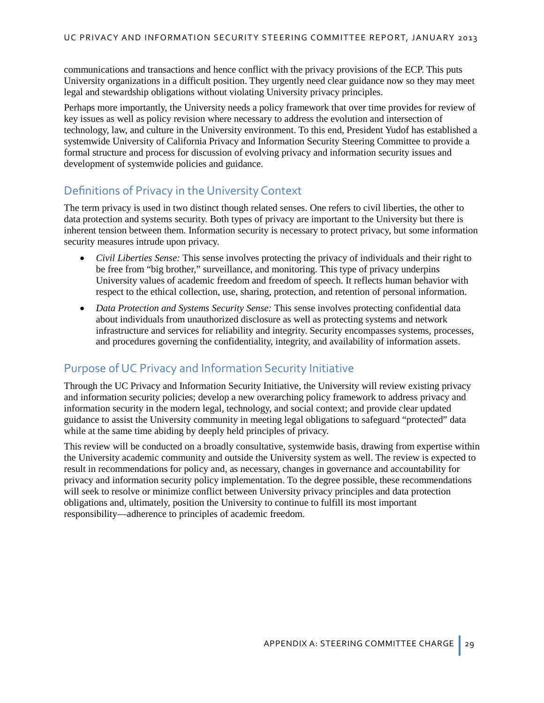communications and transactions and hence conflict with the privacy provisions of the ECP. This puts University organizations in a difficult position. They urgently need clear guidance now so they may meet legal and stewardship obligations without violating University privacy principles.

Perhaps more importantly, the University needs a policy framework that over time provides for review of key issues as well as policy revision where necessary to address the evolution and intersection of technology, law, and culture in the University environment. To this end, President Yudof has established a systemwide University of California Privacy and Information Security Steering Committee to provide a formal structure and process for discussion of evolving privacy and information security issues and development of systemwide policies and guidance.

# Definitions of Privacy in the University Context

The term privacy is used in two distinct though related senses. One refers to civil liberties, the other to data protection and systems security. Both types of privacy are important to the University but there is inherent tension between them. Information security is necessary to protect privacy, but some information security measures intrude upon privacy.

- *Civil Liberties Sense:* This sense involves protecting the privacy of individuals and their right to be free from "big brother," surveillance, and monitoring. This type of privacy underpins University values of academic freedom and freedom of speech. It reflects human behavior with respect to the ethical collection, use, sharing, protection, and retention of personal information.
- *Data Protection and Systems Security Sense:* This sense involves protecting confidential data about individuals from unauthorized disclosure as well as protecting systems and network infrastructure and services for reliability and integrity. Security encompasses systems, processes, and procedures governing the confidentiality, integrity, and availability of information assets.

# Purpose of UC Privacy and Information Security Initiative

Through the UC Privacy and Information Security Initiative, the University will review existing privacy and information security policies; develop a new overarching policy framework to address privacy and information security in the modern legal, technology, and social context; and provide clear updated guidance to assist the University community in meeting legal obligations to safeguard "protected" data while at the same time abiding by deeply held principles of privacy.

This review will be conducted on a broadly consultative, systemwide basis, drawing from expertise within the University academic community and outside the University system as well. The review is expected to result in recommendations for policy and, as necessary, changes in governance and accountability for privacy and information security policy implementation. To the degree possible, these recommendations will seek to resolve or minimize conflict between University privacy principles and data protection obligations and, ultimately, position the University to continue to fulfill its most important responsibility—adherence to principles of academic freedom.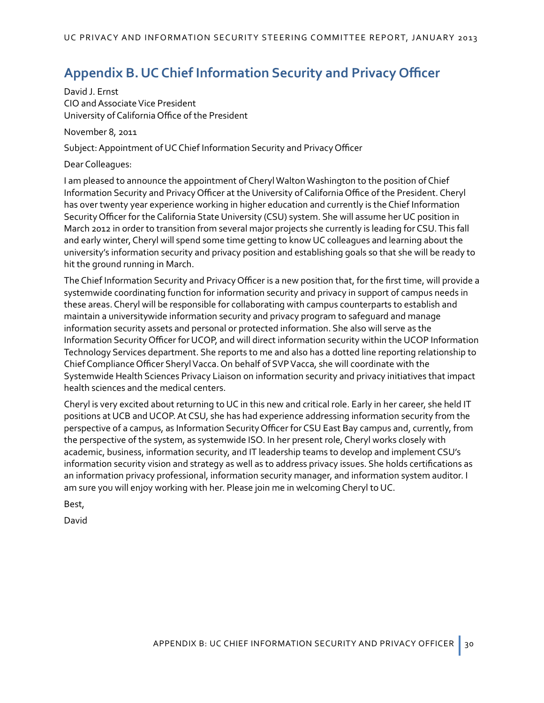# <span id="page-33-0"></span>**Appendix B.UC Chief Information Security and Privacy Officer**

David J. Ernst CIO and Associate Vice President University of California Office of the President

November 8, 2011

Subject: Appointment of UC Chief Information Security and Privacy Officer

Dear Colleagues:

I am pleased to announce the appointment of Cheryl Walton Washington to the position of Chief Information Security and Privacy Officer at the University of California Office of the President. Cheryl has over twenty year experience working in higher education and currently is the Chief Information Security Officer for the California State University (CSU) system. She will assume her UC position in March 2012 in order to transition from several major projects she currently is leading for CSU.This fall and early winter, Cheryl will spend some time getting to know UC colleagues and learning about the university's information security and privacy position and establishing goals so that she will be ready to hit the ground running in March.

The Chief Information Security and Privacy Officer is a new position that, for the first time, will provide a systemwide coordinating function for information security and privacy in support of campus needs in these areas. Cheryl will be responsible for collaborating with campus counterparts to establish and maintain a universitywide information security and privacy program to safeguard and manage information security assets and personal or protected information. She also will serve as the Information Security Officer for UCOP, and will direct information security within the UCOP Information Technology Services department. She reports to me and also has a dotted line reporting relationship to Chief Compliance Officer Sheryl Vacca. On behalf of SVP Vacca, she will coordinate with the Systemwide Health Sciences Privacy Liaison on information security and privacy initiatives that impact health sciences and the medical centers.

Cheryl is very excited about returning to UC in this new and critical role. Early in her career, she held IT positions at UCB and UCOP. At CSU, she has had experience addressing information security from the perspective of a campus, as Information Security Officer for CSU East Bay campus and, currently, from the perspective of the system, as systemwide ISO. In her present role, Cheryl works closely with academic, business, information security, and IT leadership teams to develop and implement CSU's information security vision and strategy as well as to address privacy issues. She holds certifications as an information privacy professional, information security manager, and information system auditor. I am sure you will enjoy working with her. Please join me in welcoming Cheryl to UC.

Best,

David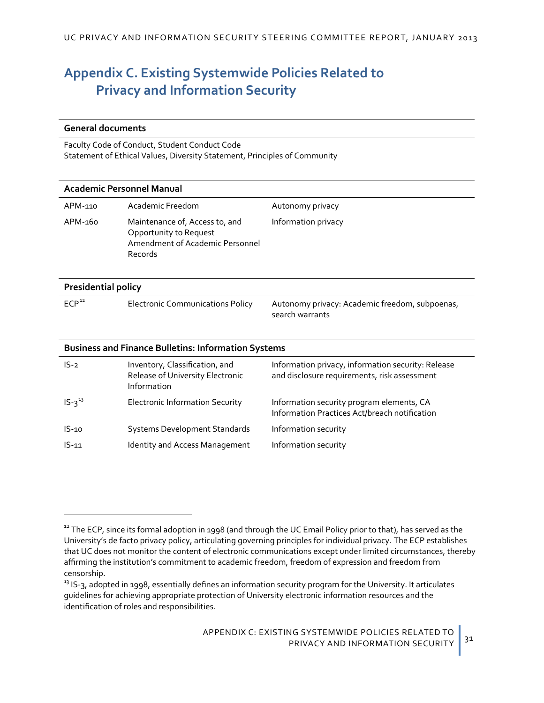# <span id="page-34-0"></span>**Appendix C. Existing Systemwide Policies Related to Privacy and Information Security**

#### **General documents**

 $\overline{a}$ 

[Faculty Code of Conduct](http://www.ucop.edu/acadpersonnel/apm/apm-015.pdf)[, Student Conduct Code](http://www.ucop.edu/ucophome/coordrev/ucpolicies/aos/uc100.html) [Statement of Ethical Values,](http://www.ucop.edu/ucophome/coordrev/policy/Stmt_Stds_Ethics.pdf) [Diversity Statement](http://www.universityofcalifornia.edu/diversity/diversity.html), [Principles of Community](http://www.universityofcalifornia.edu/diversity/principles_community.html)

| Academic Personnel Manual                                  |                                                                                                        |                                                                                                    |
|------------------------------------------------------------|--------------------------------------------------------------------------------------------------------|----------------------------------------------------------------------------------------------------|
| APM-110                                                    | Academic Freedom                                                                                       | Autonomy privacy                                                                                   |
| APM-160                                                    | Maintenance of, Access to, and<br>Opportunity to Request<br>Amendment of Academic Personnel<br>Records | Information privacy                                                                                |
| <b>Presidential policy</b>                                 |                                                                                                        |                                                                                                    |
| ECP <sup>12</sup>                                          | <b>Electronic Communications Policy</b>                                                                | Autonomy privacy: Academic freedom, subpoenas,<br>search warrants                                  |
| <b>Business and Finance Bulletins: Information Systems</b> |                                                                                                        |                                                                                                    |
| $IS-2$                                                     | Inventory, Classification, and<br>Release of University Electronic                                     | Information privacy, information security: Release<br>and disclosure requirements, risk assessment |

|             | Release of University Electronic<br>Information | and disclosure requirements, risk assessment                                               |
|-------------|-------------------------------------------------|--------------------------------------------------------------------------------------------|
| $IS-2^{13}$ | <b>Electronic Information Security</b>          | Information security program elements, CA<br>Information Practices Act/breach notification |
| $IS-10$     | <b>Systems Development Standards</b>            | Information security                                                                       |
| $IS-11$     | Identity and Access Management                  | Information security                                                                       |

<span id="page-34-1"></span><sup>&</sup>lt;sup>12</sup> The ECP, since its formal adoption in 1998 (and through the UC Email Policy prior to that), has served as the University's de facto privacy policy, articulating governing principles for individual privacy. The ECP establishes that UC does not monitor the content of electronic communications except under limited circumstances, thereby affirming the institution's commitment to academic freedom, freedom of expression and freedom from censorship.

<span id="page-34-2"></span> $13$  IS-3, adopted in 1998, essentially defines an information security program for the University. It articulates guidelines for achieving appropriate protection of University electronic information resources and the identification of roles and responsibilities.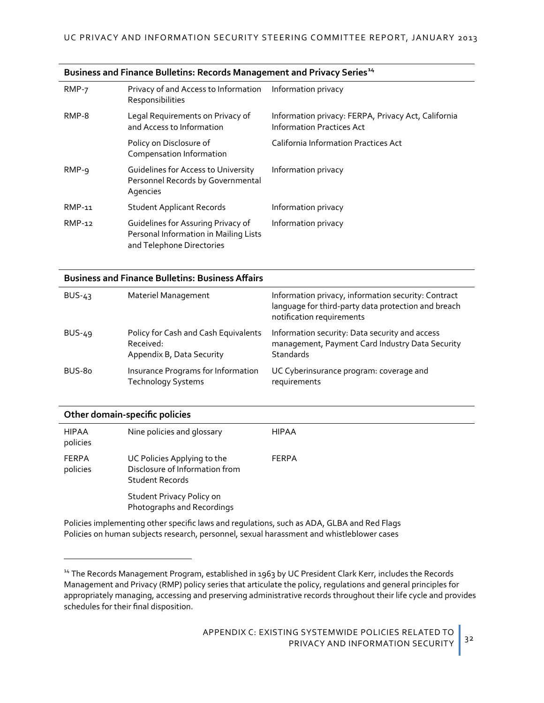| $RMP-7$ | Privacy of and Access to Information<br>Responsibilities                                                 | Information privacy                                                                     |
|---------|----------------------------------------------------------------------------------------------------------|-----------------------------------------------------------------------------------------|
| RMP-8   | Legal Requirements on Privacy of<br>and Access to Information                                            | Information privacy: FERPA, Privacy Act, California<br><b>Information Practices Act</b> |
|         | Policy on Disclosure of<br>Compensation Information                                                      | <b>California Information Practices Act</b>                                             |
| $RMP-9$ | Guidelines for Access to University<br>Personnel Records by Governmental<br>Agencies                     | Information privacy                                                                     |
| RMP-11  | <b>Student Applicant Records</b>                                                                         | Information privacy                                                                     |
| RMP-12  | Guidelines for Assuring Privacy of<br>Personal Information in Mailing Lists<br>and Telephone Directories | Information privacy                                                                     |

#### **[Business and Finance Bulletins: Records Management and Privacy Series](http://www.ucop.edu/ucophome/policies/bfb/bfbrmp.html)[14](#page-35-0)**

#### **[Business and Finance Bulletins:](http://www.ucop.edu/ucophome/policies/bfb/bfbbus.html) Business Affairs**

| Materiel Management                                                            | Information privacy, information security: Contract<br>language for third-party data protection and breach<br>notification requirements |
|--------------------------------------------------------------------------------|-----------------------------------------------------------------------------------------------------------------------------------------|
| Policy for Cash and Cash Equivalents<br>Received:<br>Appendix B, Data Security | Information security: Data security and access<br>management, Payment Card Industry Data Security<br>Standards                          |
| Insurance Programs for Information<br><b>Technology Systems</b>                | UC Cyberinsurance program: coverage and<br>requirements                                                                                 |
|                                                                                |                                                                                                                                         |

#### **Other domain-specific policies**

 $\overline{a}$ 

| <b>HIPAA</b><br>policies | Nine policies and glossary                                                              | <b>HIPAA</b> |
|--------------------------|-----------------------------------------------------------------------------------------|--------------|
| <b>FERPA</b><br>policies | UC Policies Applying to the<br>Disclosure of Information from<br><b>Student Records</b> | FERPA        |
|                          | Student Privacy Policy on<br>Photographs and Recordings                                 |              |

Policies implementing other specific laws and regulations, such as ADA, GLBA and Red Flags Policies on human subjects research, personnel, sexual harassment and whistleblower cases

<span id="page-35-0"></span><sup>&</sup>lt;sup>14</sup> The Records Management Program, established in 1963 by UC President Clark Kerr, includes the Records Management and Privacy (RMP) policy series that articulate the policy, regulations and general principles for appropriately managing, accessing and preserving administrative records throughout their life cycle and provides schedules for their final disposition.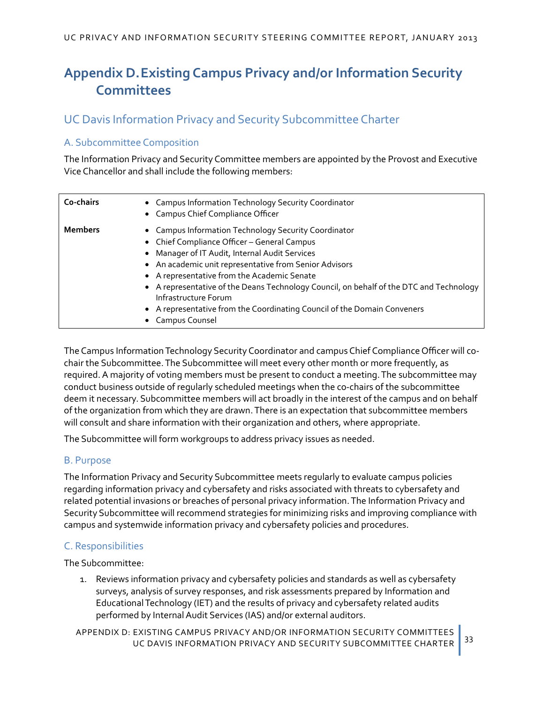# <span id="page-36-0"></span>**Appendix D.Existing Campus Privacy and/or Information Security Committees**

# UC Davis Information Privacy and Security Subcommittee Charter

# A. Subcommittee Composition

The Information Privacy and Security Committee members are appointed by the Provost and Executive Vice Chancellor and shall include the following members:

| Co-chairs      | • Campus Information Technology Security Coordinator<br>• Campus Chief Compliance Officer                                                                                                                                                                                                                                                                                                                                                                                       |
|----------------|---------------------------------------------------------------------------------------------------------------------------------------------------------------------------------------------------------------------------------------------------------------------------------------------------------------------------------------------------------------------------------------------------------------------------------------------------------------------------------|
| <b>Members</b> | • Campus Information Technology Security Coordinator<br>• Chief Compliance Officer - General Campus<br>• Manager of IT Audit, Internal Audit Services<br>• An academic unit representative from Senior Advisors<br>• A representative from the Academic Senate<br>• A representative of the Deans Technology Council, on behalf of the DTC and Technology<br>Infrastructure Forum<br>• A representative from the Coordinating Council of the Domain Conveners<br>Campus Counsel |

The Campus Information Technology Security Coordinator and campus Chief Compliance Officer will cochair the Subcommittee. The Subcommittee will meet every other month or more frequently, as required. A majority of voting members must be present to conduct a meeting.The subcommittee may conduct business outside of regularly scheduled meetings when the co-chairs of the subcommittee deem it necessary. Subcommittee members will act broadly in the interest of the campus and on behalf of the organization from which they are drawn. There is an expectation that subcommittee members will consult and share information with their organization and others, where appropriate.

The Subcommittee will form workgroups to address privacy issues as needed.

#### B. Purpose

The Information Privacy and Security Subcommittee meets regularly to evaluate campus policies regarding information privacy and cybersafety and risks associated with threats to cybersafety and related potential invasions or breaches of personal privacy information. The Information Privacy and Security Subcommittee will recommend strategies for minimizing risks and improving compliance with campus and systemwide information privacy and cybersafety policies and procedures.

# C. Responsibilities

The Subcommittee:

1. Reviews information privacy and cybersafety policies and standards as well as cybersafety surveys, analysis of survey responses, and risk assessments prepared by Information and Educational Technology (IET) and the results of privacy and cybersafety related audits performed by Internal Audit Services (IAS) and/or external auditors.

APPENDIX D: EXISTING CAMPUS PRIVACY AND/OR INFORMATION SECURITY COMMITTEES UC DAVIS INFORMATION PRIVACY AND SECURITY SUBCOMMITTEE CHARTER 33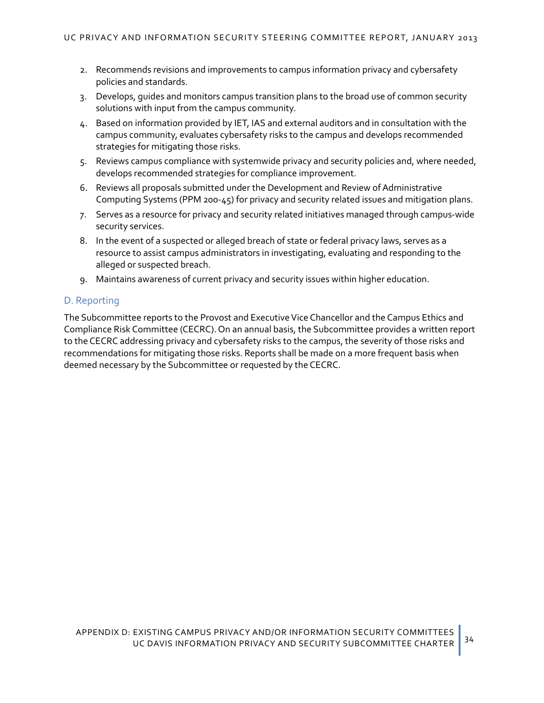- 2. Recommends revisions and improvements to campus information privacy and cybersafety policies and standards.
- 3. Develops, guides and monitors campus transition plans to the broad use of common security solutions with input from the campus community.
- 4. Based on information provided by IET, IAS and external auditors and in consultation with the campus community, evaluates cybersafety risks to the campus and develops recommended strategies for mitigating those risks.
- 5. Reviews campus compliance with systemwide privacy and security policies and, where needed, develops recommended strategies for compliance improvement.
- 6. Reviews all proposals submitted under the Development and Review of Administrative Computing Systems (PPM 200-45) for privacy and security related issues and mitigation plans.
- 7. Serves as a resource for privacy and security related initiatives managed through campus-wide security services.
- 8. In the event of a suspected or alleged breach of state or federal privacy laws, serves as a resource to assist campus administrators in investigating, evaluating and responding to the alleged or suspected breach.
- 9. Maintains awareness of current privacy and security issues within higher education.

#### D. Reporting

The Subcommittee reports to the Provost and Executive Vice Chancellor and the Campus Ethics and Compliance Risk Committee (CECRC). On an annual basis, the Subcommittee provides a written report to the CECRC addressing privacy and cybersafety risks to the campus, the severity of those risks and recommendations for mitigating those risks. Reports shall be made on a more frequent basis when deemed necessary by the Subcommittee or requested by the CECRC.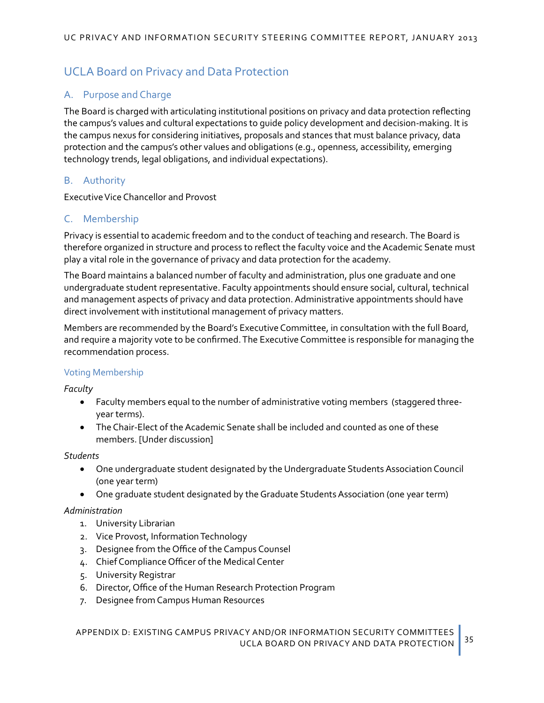# <span id="page-38-0"></span>UCLA Board on Privacy and Data Protection

## A. Purpose and Charge

The Board is charged with articulating institutional positions on privacy and data protection reflecting the campus's values and cultural expectations to guide policy development and decision-making. It is the campus nexus for considering initiatives, proposals and stances that must balance privacy, data protection and the campus's other values and obligations (e.g., openness, accessibility, emerging technology trends, legal obligations, and individual expectations).

#### B. Authority

Executive Vice Chancellor and Provost

#### C. Membership

Privacy is essential to academic freedom and to the conduct of teaching and research. The Board is therefore organized in structure and process to reflect the faculty voice and the Academic Senate must play a vital role in the governance of privacy and data protection for the academy.

The Board maintains a balanced number of faculty and administration, plus one graduate and one undergraduate student representative. Faculty appointments should ensure social, cultural, technical and management aspects of privacy and data protection. Administrative appointments should have direct involvement with institutional management of privacy matters.

Members are recommended by the Board's Executive Committee, in consultation with the full Board, and require a majority vote to be confirmed. The Executive Committee is responsible for managing the recommendation process.

#### Voting Membership

*Faculty*

- Faculty members equal to the number of administrative voting members (staggered threeyear terms).
- The Chair-Elect of the Academic Senate shall be included and counted as one of these members. [Under discussion]

#### *Students*

- One undergraduate student designated by the Undergraduate Students Association Council (one year term)
- One graduate student designated by the Graduate Students Association (one year term)

#### *Administration*

- 1. University Librarian
- 2. Vice Provost, Information Technology
- 3. Designee from the Office of the Campus Counsel
- 4. Chief Compliance Officer of the Medical Center
- 5. University Registrar
- 6. Director, Office of the Human Research Protection Program
- 7. Designee from Campus Human Resources

APPENDIX D: EXISTING CAMPUS PRIVACY AND/OR INFORMATION SECURITY COMMITTEES UCLA BOARD ON PRIVACY AND DATA PROTECTION 35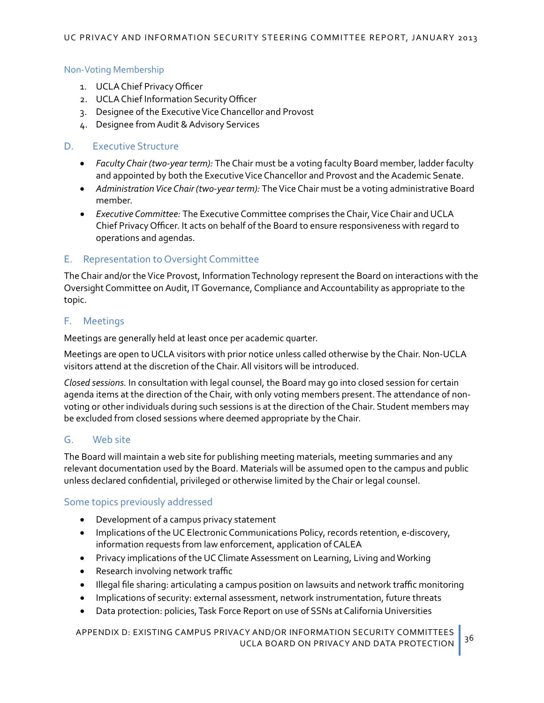#### Non-Voting Membership

- 1. UCLA Chief Privacy Officer
- 2. UCLA Chief Information Security Officer
- 3. Designee of the Executive Vice Chancellor and Provost
- 4. Designee from Audit & Advisory Services

#### D. Executive Structure

- *Faculty Chair (two-year term):* The Chair must be a voting faculty Board member, ladder faculty and appointed by both the Executive Vice Chancellor and Provost and the Academic Senate.
- *Administration Vice Chair (two-year term):* The Vice Chair must be a voting administrative Board member.
- *Executive Committee:* The Executive Committee comprises the Chair, Vice Chair and UCLA Chief Privacy Officer. It acts on behalf of the Board to ensure responsiveness with regard to operations and agendas.

#### E. Representation to Oversight Committee

The Chair and/or the Vice Provost, Information Technology represent the Board on interactions with the Oversight Committee on Audit, IT Governance, Compliance and Accountability as appropriate to the topic.

#### F. Meetings

Meetings are generally held at least once per academic quarter.

Meetings are open to UCLA visitors with prior notice unless called otherwise by the Chair. Non-UCLA visitors attend at the discretion of the Chair. All visitors will be introduced.

*Closed sessions.* In consultation with legal counsel, the Board may go into closed session for certain agenda items at the direction of the Chair, with only voting members present. The attendance of nonvoting or other individuals during such sessions is at the direction of the Chair. Student members may be excluded from closed sessions where deemed appropriate by the Chair.

#### G. Web site

The Board will maintain a web site for publishing meeting materials, meeting summaries and any relevant documentation used by the Board. Materials will be assumed open to the campus and public unless declared confidential, privileged or otherwise limited by the Chair or legal counsel.

#### Some topics previously addressed

- Development of a campus privacy statement
- Implications of the UC Electronic Communications Policy, records retention, e-discovery, information requests from law enforcement, application of CALEA
- Privacy implications of the UC Climate Assessment on Learning, Living and Working
- Research involving network traffic
- Illegal file sharing: articulating a campus position on lawsuits and network traffic monitoring
- Implications of security: external assessment, network instrumentation, future threats
- Data protection: policies, Task Force Report on use of SSNs at California Universities

APPENDIX D: EXISTING CAMPUS PRIVACY AND/OR INFORMATION SECURITY COMMITTEES UCLA BOARD ON PRIVACY AND DATA PROTECTION 36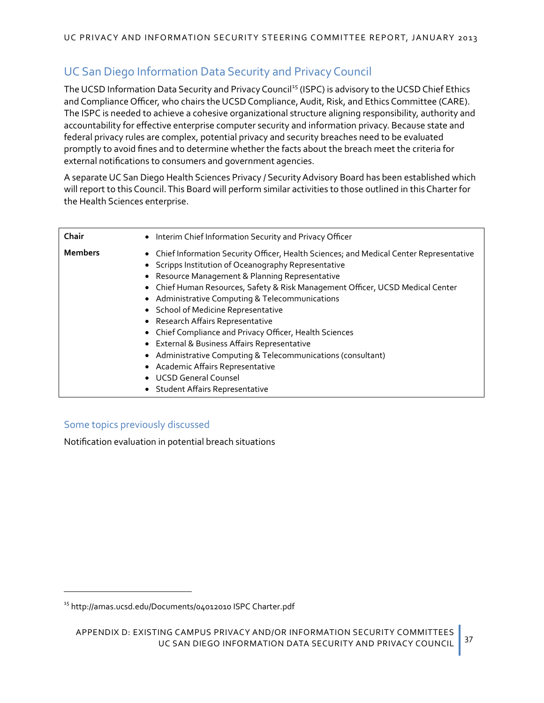# UC San Diego Information Data Security and Privacy Council

The UCSD Information Data Security and Privacy Council<sup>[15](#page-40-0)</sup> (ISPC) is advisory to the UCSD Chief Ethics and Compliance Officer, who chairs the UCSD Compliance, Audit, Risk, and Ethics Committee (CARE). The ISPC is needed to achieve a cohesive organizational structure aligning responsibility, authority and accountability for effective enterprise computer security and information privacy. Because state and federal privacy rules are complex, potential privacy and security breaches need to be evaluated promptly to avoid fines and to determine whether the facts about the breach meet the criteria for external notifications to consumers and government agencies.

A separate UC San Diego Health Sciences Privacy / Security Advisory Board has been established which will report to this Council. This Board will perform similar activities to those outlined in this Charter for the Health Sciences enterprise.

| Chair          | • Interim Chief Information Security and Privacy Officer                                                                                                                                                                                                                                                                                                                                                                                                                                                                                                                                                                                                                                           |
|----------------|----------------------------------------------------------------------------------------------------------------------------------------------------------------------------------------------------------------------------------------------------------------------------------------------------------------------------------------------------------------------------------------------------------------------------------------------------------------------------------------------------------------------------------------------------------------------------------------------------------------------------------------------------------------------------------------------------|
| <b>Members</b> | • Chief Information Security Officer, Health Sciences; and Medical Center Representative<br>• Scripps Institution of Oceanography Representative<br>• Resource Management & Planning Representative<br>• Chief Human Resources, Safety & Risk Management Officer, UCSD Medical Center<br>• Administrative Computing & Telecommunications<br>• School of Medicine Representative<br>• Research Affairs Representative<br>• Chief Compliance and Privacy Officer, Health Sciences<br>• External & Business Affairs Representative<br>• Administrative Computing & Telecommunications (consultant)<br>• Academic Affairs Representative<br>• UCSD General Counsel<br>• Student Affairs Representative |

# Some topics previously discussed

 $\overline{a}$ 

Notification evaluation in potential breach situations

<span id="page-40-0"></span><sup>15</sup> [http://amas.ucsd.edu/Documents/04012010 ISPC Charter.pdf](http://amas.ucsd.edu/Documents/04012010%20ISPC%20Charter.pdf)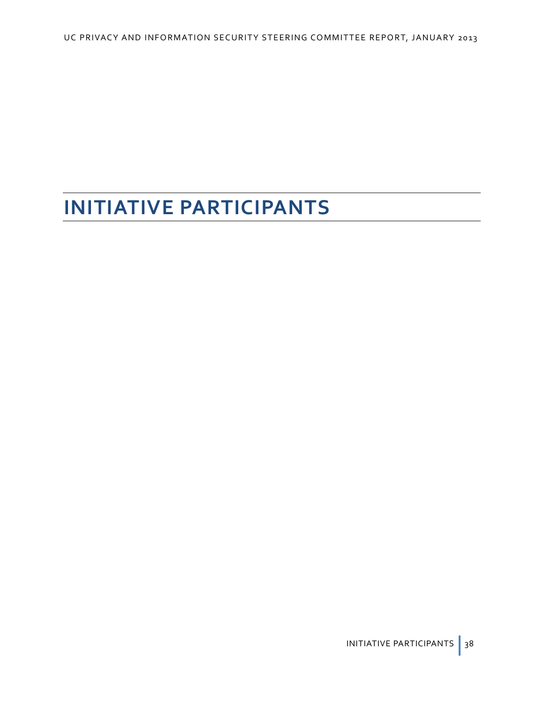# **INITIATIVE PARTICIPANTS**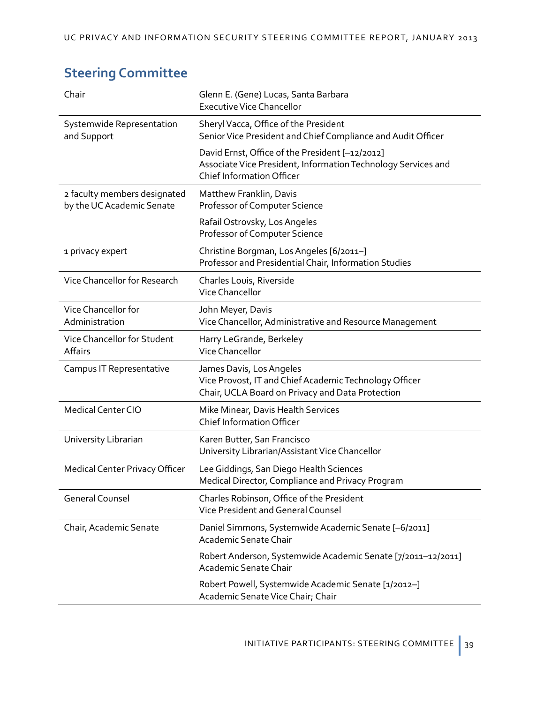# **Steering Committee**

| Chair                                                     | Glenn E. (Gene) Lucas, Santa Barbara<br><b>Executive Vice Chancellor</b>                                                                             |
|-----------------------------------------------------------|------------------------------------------------------------------------------------------------------------------------------------------------------|
| Systemwide Representation<br>and Support                  | Sheryl Vacca, Office of the President<br>Senior Vice President and Chief Compliance and Audit Officer                                                |
|                                                           | David Ernst, Office of the President [-12/2012]<br>Associate Vice President, Information Technology Services and<br><b>Chief Information Officer</b> |
| 2 faculty members designated<br>by the UC Academic Senate | Matthew Franklin, Davis<br>Professor of Computer Science                                                                                             |
|                                                           | Rafail Ostrovsky, Los Angeles<br>Professor of Computer Science                                                                                       |
| 1 privacy expert                                          | Christine Borgman, Los Angeles [6/2011-]<br>Professor and Presidential Chair, Information Studies                                                    |
| Vice Chancellor for Research                              | Charles Louis, Riverside<br><b>Vice Chancellor</b>                                                                                                   |
| Vice Chancellor for<br>Administration                     | John Meyer, Davis<br>Vice Chancellor, Administrative and Resource Management                                                                         |
| Vice Chancellor for Student<br>Affairs                    | Harry LeGrande, Berkeley<br>Vice Chancellor                                                                                                          |
| Campus IT Representative                                  | James Davis, Los Angeles<br>Vice Provost, IT and Chief Academic Technology Officer<br>Chair, UCLA Board on Privacy and Data Protection               |
| <b>Medical Center CIO</b>                                 | Mike Minear, Davis Health Services<br><b>Chief Information Officer</b>                                                                               |
| University Librarian                                      | Karen Butter, San Francisco<br>University Librarian/Assistant Vice Chancellor                                                                        |
| Medical Center Privacy Officer                            | Lee Giddings, San Diego Health Sciences<br>Medical Director, Compliance and Privacy Program                                                          |
| <b>General Counsel</b>                                    | Charles Robinson, Office of the President<br>Vice President and General Counsel                                                                      |
| Chair, Academic Senate                                    | Daniel Simmons, Systemwide Academic Senate [-6/2011]<br>Academic Senate Chair                                                                        |
|                                                           | Robert Anderson, Systemwide Academic Senate [7/2011-12/2011]<br>Academic Senate Chair                                                                |
|                                                           | Robert Powell, Systemwide Academic Senate [1/2012-]<br>Academic Senate Vice Chair; Chair                                                             |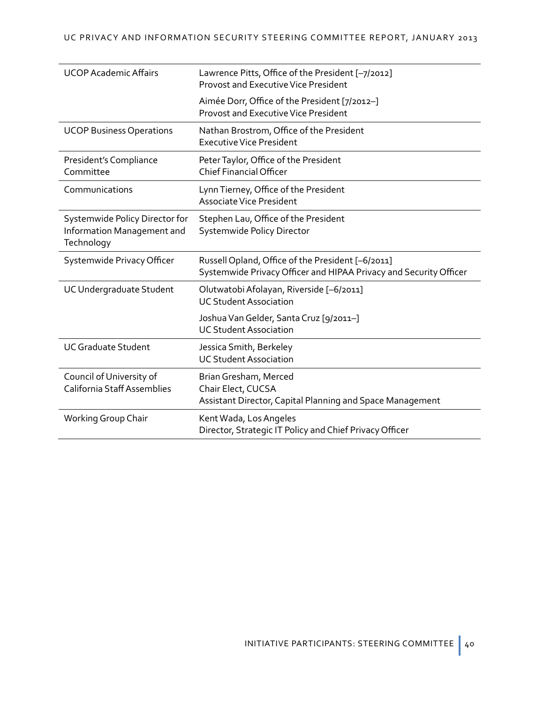| <b>UCOP Academic Affairs</b>                                               | Lawrence Pitts, Office of the President [-7/2012]<br><b>Provost and Executive Vice President</b>                       |
|----------------------------------------------------------------------------|------------------------------------------------------------------------------------------------------------------------|
|                                                                            | Aimée Dorr, Office of the President [7/2012-]<br><b>Provost and Executive Vice President</b>                           |
| <b>UCOP Business Operations</b>                                            | Nathan Brostrom, Office of the President<br><b>Executive Vice President</b>                                            |
| President's Compliance<br>Committee                                        | Peter Taylor, Office of the President<br><b>Chief Financial Officer</b>                                                |
| Communications                                                             | Lynn Tierney, Office of the President<br><b>Associate Vice President</b>                                               |
| Systemwide Policy Director for<br>Information Management and<br>Technology | Stephen Lau, Office of the President<br>Systemwide Policy Director                                                     |
|                                                                            |                                                                                                                        |
| Systemwide Privacy Officer                                                 | Russell Opland, Office of the President [-6/2011]<br>Systemwide Privacy Officer and HIPAA Privacy and Security Officer |
| UC Undergraduate Student                                                   | Olutwatobi Afolayan, Riverside [-6/2011]<br><b>UC Student Association</b>                                              |
|                                                                            | Joshua Van Gelder, Santa Cruz [9/2011-]<br><b>UC Student Association</b>                                               |
| <b>UC Graduate Student</b>                                                 | Jessica Smith, Berkeley<br><b>UC Student Association</b>                                                               |
| Council of University of<br><b>California Staff Assemblies</b>             | Brian Gresham, Merced<br>Chair Elect, CUCSA<br>Assistant Director, Capital Planning and Space Management               |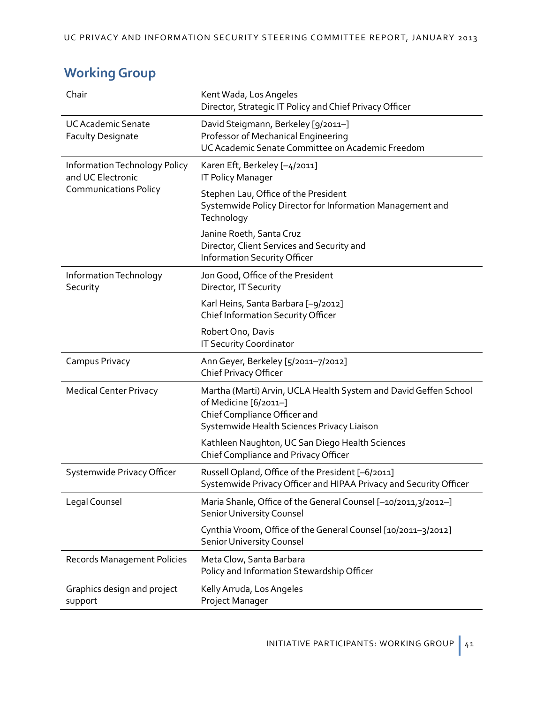| Chair                                                                              | Kent Wada, Los Angeles<br>Director, Strategic IT Policy and Chief Privacy Officer                                                                                       |
|------------------------------------------------------------------------------------|-------------------------------------------------------------------------------------------------------------------------------------------------------------------------|
| <b>UC Academic Senate</b><br><b>Faculty Designate</b>                              | David Steigmann, Berkeley [9/2011-]<br>Professor of Mechanical Engineering<br>UC Academic Senate Committee on Academic Freedom                                          |
| Information Technology Policy<br>and UC Electronic<br><b>Communications Policy</b> | Karen Eft, Berkeley [-4/2011]<br><b>IT Policy Manager</b>                                                                                                               |
|                                                                                    | Stephen Lau, Office of the President<br>Systemwide Policy Director for Information Management and<br>Technology                                                         |
|                                                                                    | Janine Roeth, Santa Cruz<br>Director, Client Services and Security and<br>Information Security Officer                                                                  |
| Information Technology<br>Security                                                 | Jon Good, Office of the President<br>Director, IT Security                                                                                                              |
|                                                                                    | Karl Heins, Santa Barbara [-9/2012]<br>Chief Information Security Officer                                                                                               |
|                                                                                    | Robert Ono, Davis<br>IT Security Coordinator                                                                                                                            |
| Campus Privacy                                                                     | Ann Geyer, Berkeley [5/2011-7/2012]<br>Chief Privacy Officer                                                                                                            |
| <b>Medical Center Privacy</b>                                                      | Martha (Marti) Arvin, UCLA Health System and David Geffen School<br>of Medicine [6/2011-]<br>Chief Compliance Officer and<br>Systemwide Health Sciences Privacy Liaison |
|                                                                                    | Kathleen Naughton, UC San Diego Health Sciences<br>Chief Compliance and Privacy Officer                                                                                 |
| Systemwide Privacy Officer                                                         | Russell Opland, Office of the President [-6/2011]<br>Systemwide Privacy Officer and HIPAA Privacy and Security Officer                                                  |
| Legal Counsel                                                                      | Maria Shanle, Office of the General Counsel [-10/2011,3/2012-]<br><b>Senior University Counsel</b>                                                                      |
|                                                                                    | Cynthia Vroom, Office of the General Counsel [10/2011-3/2012]<br><b>Senior University Counsel</b>                                                                       |
| <b>Records Management Policies</b>                                                 | Meta Clow, Santa Barbara<br>Policy and Information Stewardship Officer                                                                                                  |
| Graphics design and project<br>support                                             | Kelly Arruda, Los Angeles<br>Project Manager                                                                                                                            |

# **Working Group**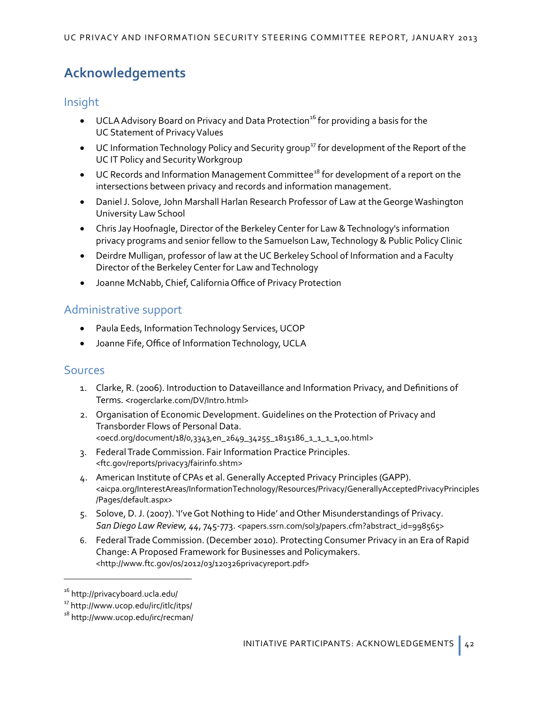# **Acknowledgements**

## Insight

- UCLA Advisory Board on Privacy and Data Protection<sup>[16](#page-45-2)</sup> for providing a basis for the UC Statement of Privacy Values
- UC Information Technology Policy and Security group<sup>[17](#page-45-3)</sup> for development of the Report of the UC IT Policy and Security Workgroup
- UC Records and Information Management Committee<sup>[18](#page-45-4)</sup> for development of a report on the intersections between privacy and records and information management.
- Daniel J. Solove, John Marshall Harlan Research Professor of Law at the George Washington University Law School
- Chris Jay Hoofnagle, Director of the Berkeley Center for Law & Technology's information privacy programs and senior fellow to the Samuelson Law, Technology & Public Policy Clinic
- Deirdre Mulligan, professor of law at the UC Berkeley School of Information and a Faculty Director of the Berkeley Center for Law and Technology
- Joanne McNabb, Chief, California Office of Privacy Protection

# Administrative support

- Paula Eeds, Information Technology Services, UCOP
- Joanne Fife, Office of Information Technology, UCLA

# <span id="page-45-1"></span><span id="page-45-0"></span>Sources

- 1. Clarke, R. (2006). Introduction to Dataveillance and Information Privacy, and Definitions of Terms. <[rogerclarke.com/DV/Intro.html](http://www.rogerclarke.com/DV/Intro.html)>
- 2. Organisation of Economic Development. Guidelines on the Protection of Privacy and Transborder Flows of Personal Data. <[oecd.org/document/18/0,3343,en\\_2649\\_34255\\_1815186\\_1\\_1\\_1\\_1,00.html](http://www.oecd.org/document/18/0,3343,en_2649_34255_1815186_1_1_1_1,00.html)>
- 3. Federal Trade Commission. Fair Information Practice Principles. <[ftc.gov/reports/privacy3/fairinfo.shtm](http://www.ftc.gov/reports/privacy3/fairinfo.shtm)>
- 4. American Institute of CPAs et al. Generally Accepted Privacy Principles (GAPP). <[aicpa.org/InterestAreas/InformationTechnology/Resources/Privacy/GenerallyAcceptedPrivacyPrinciples](http://www.aicpa.org/InterestAreas/InformationTechnology/Resources/Privacy/GenerallyAcceptedPrivacyPrinciples/Pages/default.aspx) [/Pages/default.aspx](http://www.aicpa.org/InterestAreas/InformationTechnology/Resources/Privacy/GenerallyAcceptedPrivacyPrinciples/Pages/default.aspx)>
- 5. Solove, D. J. (2007). 'I've Got Nothing to Hide' and Other Misunderstandings of Privacy. *San Diego Law Review, 44*, 745-773. <[papers.ssrn.com/sol3/papers.cfm?abstract\\_id=998565](http://papers.ssrn.com/sol3/papers.cfm?abstract_id=998565)>
- 6. Federal Trade Commission. (December 2010). Protecting Consumer Privacy in an Era of Rapid Change: A Proposed Framework for Businesses and Policymakers. <<http://www.ftc.gov/os/2012/03/120326privacyreport.pdf>>

 $\overline{a}$ 

<span id="page-45-2"></span><sup>16</sup> <http://privacyboard.ucla.edu/>

<span id="page-45-3"></span><sup>17</sup> h[ttp://www.ucop.edu/irc/itlc/itps/](http://www.ucop.edu/irc/itlc/itps/)

<span id="page-45-4"></span><sup>&</sup>lt;sup>18</sup> <http://www.ucop.edu/irc/recman/>